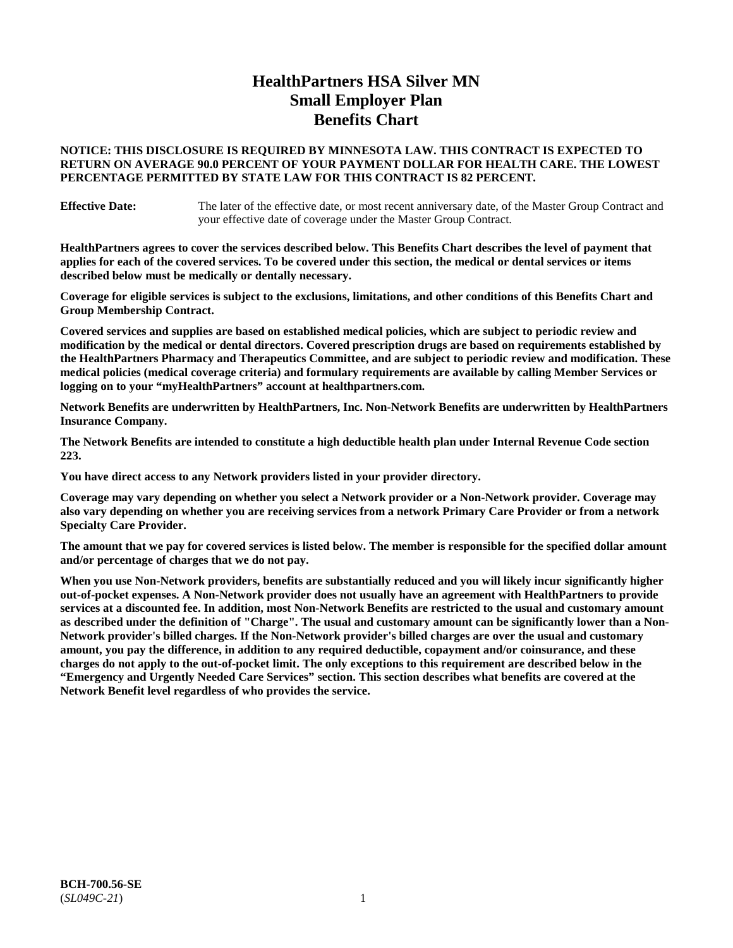# **HealthPartners HSA Silver MN Small Employer Plan Benefits Chart**

### **NOTICE: THIS DISCLOSURE IS REQUIRED BY MINNESOTA LAW. THIS CONTRACT IS EXPECTED TO RETURN ON AVERAGE 90.0 PERCENT OF YOUR PAYMENT DOLLAR FOR HEALTH CARE. THE LOWEST PERCENTAGE PERMITTED BY STATE LAW FOR THIS CONTRACT IS 82 PERCENT.**

**Effective Date:** The later of the effective date, or most recent anniversary date, of the Master Group Contract and your effective date of coverage under the Master Group Contract.

**HealthPartners agrees to cover the services described below. This Benefits Chart describes the level of payment that applies for each of the covered services. To be covered under this section, the medical or dental services or items described below must be medically or dentally necessary.**

**Coverage for eligible services is subject to the exclusions, limitations, and other conditions of this Benefits Chart and Group Membership Contract.**

**Covered services and supplies are based on established medical policies, which are subject to periodic review and modification by the medical or dental directors. Covered prescription drugs are based on requirements established by the HealthPartners Pharmacy and Therapeutics Committee, and are subject to periodic review and modification. These medical policies (medical coverage criteria) and formulary requirements are available by calling Member Services or logging on to your "myHealthPartners" account at [healthpartners.com.](https://www.healthpartners.com/hp/index.html)**

**Network Benefits are underwritten by HealthPartners, Inc. Non-Network Benefits are underwritten by HealthPartners Insurance Company.** 

**The Network Benefits are intended to constitute a high deductible health plan under Internal Revenue Code section 223.** 

**You have direct access to any Network providers listed in your provider directory.**

**Coverage may vary depending on whether you select a Network provider or a Non-Network provider. Coverage may also vary depending on whether you are receiving services from a network Primary Care Provider or from a network Specialty Care Provider.**

**The amount that we pay for covered services is listed below. The member is responsible for the specified dollar amount and/or percentage of charges that we do not pay.**

**When you use Non-Network providers, benefits are substantially reduced and you will likely incur significantly higher out-of-pocket expenses. A Non-Network provider does not usually have an agreement with HealthPartners to provide services at a discounted fee. In addition, most Non-Network Benefits are restricted to the usual and customary amount as described under the definition of "Charge". The usual and customary amount can be significantly lower than a Non-Network provider's billed charges. If the Non-Network provider's billed charges are over the usual and customary amount, you pay the difference, in addition to any required deductible, copayment and/or coinsurance, and these charges do not apply to the out-of-pocket limit. The only exceptions to this requirement are described below in the "Emergency and Urgently Needed Care Services" section. This section describes what benefits are covered at the Network Benefit level regardless of who provides the service.**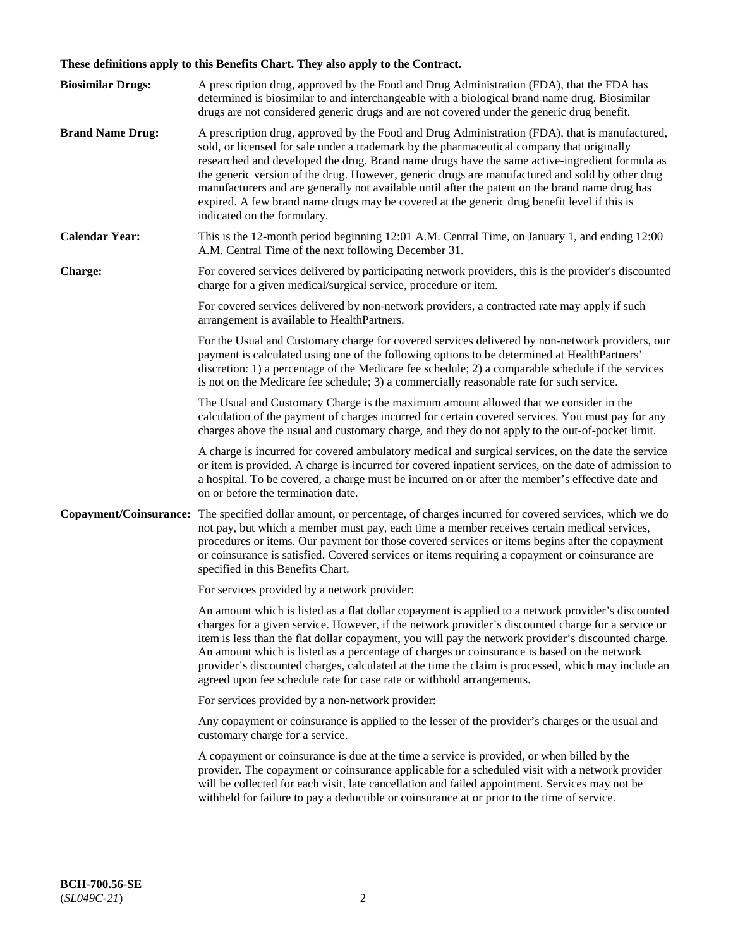# **These definitions apply to this Benefits Chart. They also apply to the Contract.**

| <b>Biosimilar Drugs:</b> | A prescription drug, approved by the Food and Drug Administration (FDA), that the FDA has<br>determined is biosimilar to and interchangeable with a biological brand name drug. Biosimilar<br>drugs are not considered generic drugs and are not covered under the generic drug benefit.                                                                                                                                                                                                                                                                                                                                           |
|--------------------------|------------------------------------------------------------------------------------------------------------------------------------------------------------------------------------------------------------------------------------------------------------------------------------------------------------------------------------------------------------------------------------------------------------------------------------------------------------------------------------------------------------------------------------------------------------------------------------------------------------------------------------|
| <b>Brand Name Drug:</b>  | A prescription drug, approved by the Food and Drug Administration (FDA), that is manufactured,<br>sold, or licensed for sale under a trademark by the pharmaceutical company that originally<br>researched and developed the drug. Brand name drugs have the same active-ingredient formula as<br>the generic version of the drug. However, generic drugs are manufactured and sold by other drug<br>manufacturers and are generally not available until after the patent on the brand name drug has<br>expired. A few brand name drugs may be covered at the generic drug benefit level if this is<br>indicated on the formulary. |
| <b>Calendar Year:</b>    | This is the 12-month period beginning 12:01 A.M. Central Time, on January 1, and ending 12:00<br>A.M. Central Time of the next following December 31.                                                                                                                                                                                                                                                                                                                                                                                                                                                                              |
| <b>Charge:</b>           | For covered services delivered by participating network providers, this is the provider's discounted<br>charge for a given medical/surgical service, procedure or item.                                                                                                                                                                                                                                                                                                                                                                                                                                                            |
|                          | For covered services delivered by non-network providers, a contracted rate may apply if such<br>arrangement is available to HealthPartners.                                                                                                                                                                                                                                                                                                                                                                                                                                                                                        |
|                          | For the Usual and Customary charge for covered services delivered by non-network providers, our<br>payment is calculated using one of the following options to be determined at HealthPartners'<br>discretion: 1) a percentage of the Medicare fee schedule; 2) a comparable schedule if the services<br>is not on the Medicare fee schedule; 3) a commercially reasonable rate for such service.                                                                                                                                                                                                                                  |
|                          | The Usual and Customary Charge is the maximum amount allowed that we consider in the<br>calculation of the payment of charges incurred for certain covered services. You must pay for any<br>charges above the usual and customary charge, and they do not apply to the out-of-pocket limit.                                                                                                                                                                                                                                                                                                                                       |
|                          | A charge is incurred for covered ambulatory medical and surgical services, on the date the service<br>or item is provided. A charge is incurred for covered inpatient services, on the date of admission to<br>a hospital. To be covered, a charge must be incurred on or after the member's effective date and<br>on or before the termination date.                                                                                                                                                                                                                                                                              |
| Copayment/Coinsurance:   | The specified dollar amount, or percentage, of charges incurred for covered services, which we do<br>not pay, but which a member must pay, each time a member receives certain medical services,<br>procedures or items. Our payment for those covered services or items begins after the copayment<br>or coinsurance is satisfied. Covered services or items requiring a copayment or coinsurance are<br>specified in this Benefits Chart.                                                                                                                                                                                        |
|                          | For services provided by a network provider:                                                                                                                                                                                                                                                                                                                                                                                                                                                                                                                                                                                       |
|                          | An amount which is listed as a flat dollar copayment is applied to a network provider's discounted<br>charges for a given service. However, if the network provider's discounted charge for a service or<br>item is less than the flat dollar copayment, you will pay the network provider's discounted charge.<br>An amount which is listed as a percentage of charges or coinsurance is based on the network<br>provider's discounted charges, calculated at the time the claim is processed, which may include an<br>agreed upon fee schedule rate for case rate or withhold arrangements.                                      |
|                          | For services provided by a non-network provider:                                                                                                                                                                                                                                                                                                                                                                                                                                                                                                                                                                                   |
|                          | Any copayment or coinsurance is applied to the lesser of the provider's charges or the usual and<br>customary charge for a service.                                                                                                                                                                                                                                                                                                                                                                                                                                                                                                |
|                          | A copayment or coinsurance is due at the time a service is provided, or when billed by the<br>provider. The copayment or coinsurance applicable for a scheduled visit with a network provider<br>will be collected for each visit, late cancellation and failed appointment. Services may not be<br>withheld for failure to pay a deductible or coinsurance at or prior to the time of service.                                                                                                                                                                                                                                    |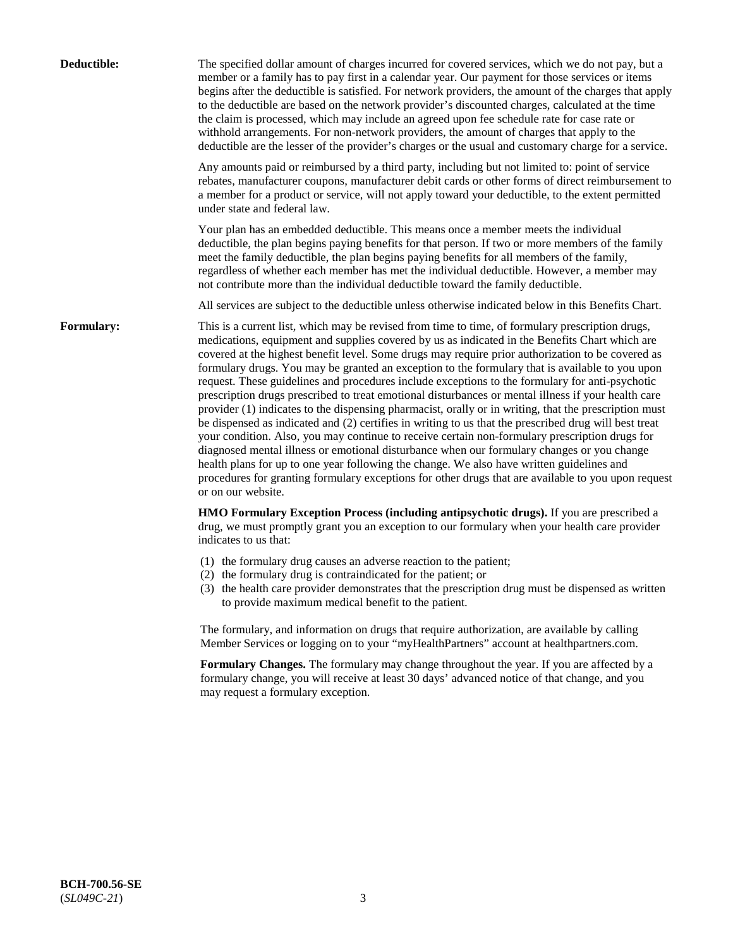| Deductible:       | The specified dollar amount of charges incurred for covered services, which we do not pay, but a<br>member or a family has to pay first in a calendar year. Our payment for those services or items<br>begins after the deductible is satisfied. For network providers, the amount of the charges that apply<br>to the deductible are based on the network provider's discounted charges, calculated at the time<br>the claim is processed, which may include an agreed upon fee schedule rate for case rate or<br>withhold arrangements. For non-network providers, the amount of charges that apply to the<br>deductible are the lesser of the provider's charges or the usual and customary charge for a service.                                                                                                                                                                                                                                                                                                                                                                                                                                                                                                                                             |
|-------------------|------------------------------------------------------------------------------------------------------------------------------------------------------------------------------------------------------------------------------------------------------------------------------------------------------------------------------------------------------------------------------------------------------------------------------------------------------------------------------------------------------------------------------------------------------------------------------------------------------------------------------------------------------------------------------------------------------------------------------------------------------------------------------------------------------------------------------------------------------------------------------------------------------------------------------------------------------------------------------------------------------------------------------------------------------------------------------------------------------------------------------------------------------------------------------------------------------------------------------------------------------------------|
|                   | Any amounts paid or reimbursed by a third party, including but not limited to: point of service<br>rebates, manufacturer coupons, manufacturer debit cards or other forms of direct reimbursement to<br>a member for a product or service, will not apply toward your deductible, to the extent permitted<br>under state and federal law.                                                                                                                                                                                                                                                                                                                                                                                                                                                                                                                                                                                                                                                                                                                                                                                                                                                                                                                        |
|                   | Your plan has an embedded deductible. This means once a member meets the individual<br>deductible, the plan begins paying benefits for that person. If two or more members of the family<br>meet the family deductible, the plan begins paying benefits for all members of the family,<br>regardless of whether each member has met the individual deductible. However, a member may<br>not contribute more than the individual deductible toward the family deductible.                                                                                                                                                                                                                                                                                                                                                                                                                                                                                                                                                                                                                                                                                                                                                                                         |
|                   | All services are subject to the deductible unless otherwise indicated below in this Benefits Chart.                                                                                                                                                                                                                                                                                                                                                                                                                                                                                                                                                                                                                                                                                                                                                                                                                                                                                                                                                                                                                                                                                                                                                              |
| <b>Formulary:</b> | This is a current list, which may be revised from time to time, of formulary prescription drugs,<br>medications, equipment and supplies covered by us as indicated in the Benefits Chart which are<br>covered at the highest benefit level. Some drugs may require prior authorization to be covered as<br>formulary drugs. You may be granted an exception to the formulary that is available to you upon<br>request. These guidelines and procedures include exceptions to the formulary for anti-psychotic<br>prescription drugs prescribed to treat emotional disturbances or mental illness if your health care<br>provider (1) indicates to the dispensing pharmacist, orally or in writing, that the prescription must<br>be dispensed as indicated and (2) certifies in writing to us that the prescribed drug will best treat<br>your condition. Also, you may continue to receive certain non-formulary prescription drugs for<br>diagnosed mental illness or emotional disturbance when our formulary changes or you change<br>health plans for up to one year following the change. We also have written guidelines and<br>procedures for granting formulary exceptions for other drugs that are available to you upon request<br>or on our website. |
|                   | HMO Formulary Exception Process (including antipsychotic drugs). If you are prescribed a<br>drug, we must promptly grant you an exception to our formulary when your health care provider<br>indicates to us that:                                                                                                                                                                                                                                                                                                                                                                                                                                                                                                                                                                                                                                                                                                                                                                                                                                                                                                                                                                                                                                               |
|                   | (1) the formulary drug causes an adverse reaction to the patient;<br>(2) the formulary drug is contraindicated for the patient; or<br>(3) the health care provider demonstrates that the prescription drug must be dispensed as written<br>to provide maximum medical benefit to the patient.                                                                                                                                                                                                                                                                                                                                                                                                                                                                                                                                                                                                                                                                                                                                                                                                                                                                                                                                                                    |
|                   | The formulary, and information on drugs that require authorization, are available by calling<br>Member Services or logging on to your "myHealthPartners" account at healthpartners.com.                                                                                                                                                                                                                                                                                                                                                                                                                                                                                                                                                                                                                                                                                                                                                                                                                                                                                                                                                                                                                                                                          |
|                   | Formulary Changes. The formulary may change throughout the year. If you are affected by a<br>formulary change, you will receive at least 30 days' advanced notice of that change, and you<br>may request a formulary exception.                                                                                                                                                                                                                                                                                                                                                                                                                                                                                                                                                                                                                                                                                                                                                                                                                                                                                                                                                                                                                                  |
|                   |                                                                                                                                                                                                                                                                                                                                                                                                                                                                                                                                                                                                                                                                                                                                                                                                                                                                                                                                                                                                                                                                                                                                                                                                                                                                  |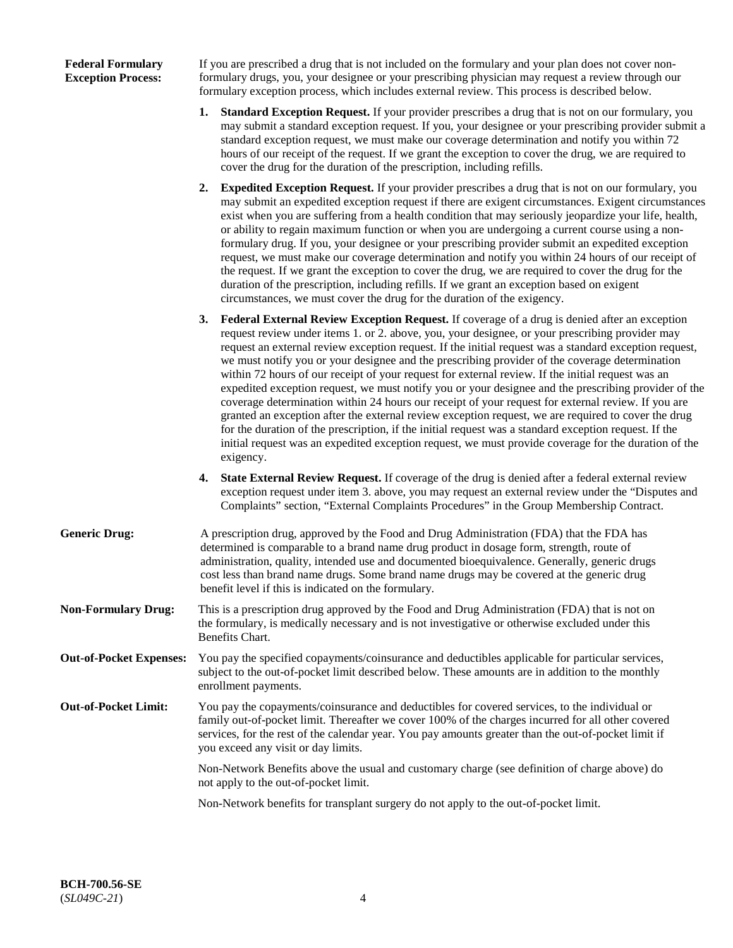### **Federal Formulary Exception Process:**

If you are prescribed a drug that is not included on the formulary and your plan does not cover nonformulary drugs, you, your designee or your prescribing physician may request a review through our formulary exception process, which includes external review. This process is described below.

- **1. Standard Exception Request.** If your provider prescribes a drug that is not on our formulary, you may submit a standard exception request. If you, your designee or your prescribing provider submit a standard exception request, we must make our coverage determination and notify you within 72 hours of our receipt of the request. If we grant the exception to cover the drug, we are required to cover the drug for the duration of the prescription, including refills.
- **2. Expedited Exception Request.** If your provider prescribes a drug that is not on our formulary, you may submit an expedited exception request if there are exigent circumstances. Exigent circumstances exist when you are suffering from a health condition that may seriously jeopardize your life, health, or ability to regain maximum function or when you are undergoing a current course using a nonformulary drug. If you, your designee or your prescribing provider submit an expedited exception request, we must make our coverage determination and notify you within 24 hours of our receipt of the request. If we grant the exception to cover the drug, we are required to cover the drug for the duration of the prescription, including refills. If we grant an exception based on exigent circumstances, we must cover the drug for the duration of the exigency.
- **3. Federal External Review Exception Request.** If coverage of a drug is denied after an exception request review under items 1. or 2. above, you, your designee, or your prescribing provider may request an external review exception request. If the initial request was a standard exception request, we must notify you or your designee and the prescribing provider of the coverage determination within 72 hours of our receipt of your request for external review. If the initial request was an expedited exception request, we must notify you or your designee and the prescribing provider of the coverage determination within 24 hours our receipt of your request for external review. If you are granted an exception after the external review exception request, we are required to cover the drug for the duration of the prescription, if the initial request was a standard exception request. If the initial request was an expedited exception request, we must provide coverage for the duration of the exigency.
- **4. State External Review Request.** If coverage of the drug is denied after a federal external review exception request under item 3. above, you may request an external review under the "Disputes and Complaints" section, "External Complaints Procedures" in the Group Membership Contract.
- **Generic Drug:** A prescription drug, approved by the Food and Drug Administration (FDA) that the FDA has determined is comparable to a brand name drug product in dosage form, strength, route of administration, quality, intended use and documented bioequivalence. Generally, generic drugs cost less than brand name drugs. Some brand name drugs may be covered at the generic drug benefit level if this is indicated on the formulary.
- **Non-Formulary Drug:** This is a prescription drug approved by the Food and Drug Administration (FDA) that is not on the formulary, is medically necessary and is not investigative or otherwise excluded under this Benefits Chart.
- **Out-of-Pocket Expenses:** You pay the specified copayments/coinsurance and deductibles applicable for particular services, subject to the out-of-pocket limit described below. These amounts are in addition to the monthly enrollment payments.
- **Out-of-Pocket Limit:** You pay the copayments/coinsurance and deductibles for covered services, to the individual or family out-of-pocket limit. Thereafter we cover 100% of the charges incurred for all other covered services, for the rest of the calendar year. You pay amounts greater than the out-of-pocket limit if you exceed any visit or day limits.

Non-Network Benefits above the usual and customary charge (see definition of charge above) do not apply to the out-of-pocket limit.

Non-Network benefits for transplant surgery do not apply to the out-of-pocket limit.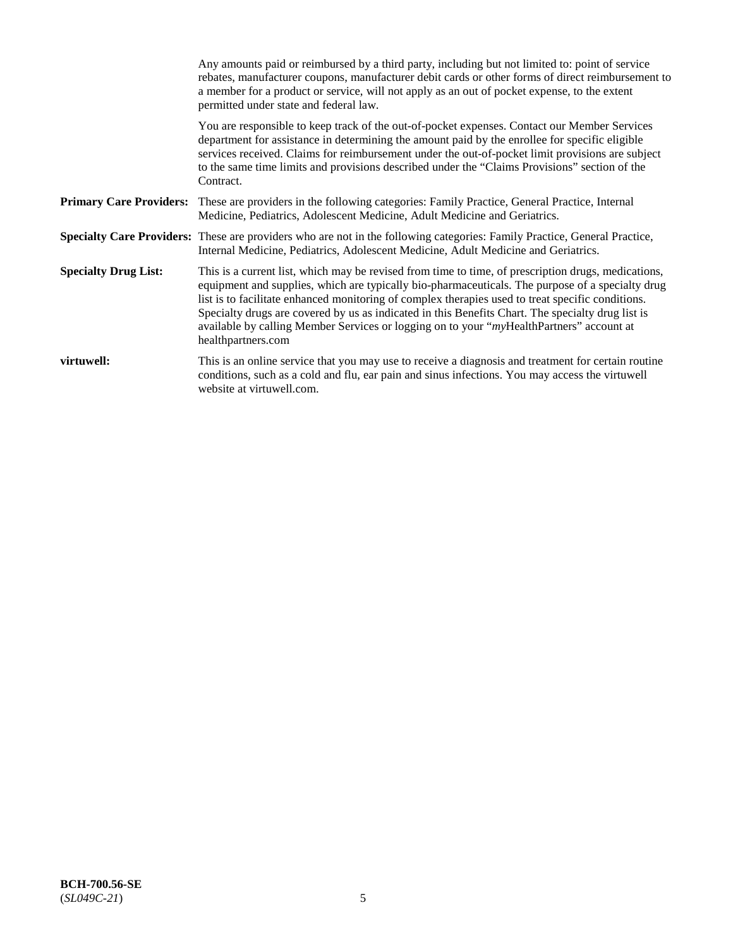|                                | Any amounts paid or reimbursed by a third party, including but not limited to: point of service<br>rebates, manufacturer coupons, manufacturer debit cards or other forms of direct reimbursement to<br>a member for a product or service, will not apply as an out of pocket expense, to the extent<br>permitted under state and federal law.                                                                                                                                                                                      |
|--------------------------------|-------------------------------------------------------------------------------------------------------------------------------------------------------------------------------------------------------------------------------------------------------------------------------------------------------------------------------------------------------------------------------------------------------------------------------------------------------------------------------------------------------------------------------------|
|                                | You are responsible to keep track of the out-of-pocket expenses. Contact our Member Services<br>department for assistance in determining the amount paid by the enrollee for specific eligible<br>services received. Claims for reimbursement under the out-of-pocket limit provisions are subject<br>to the same time limits and provisions described under the "Claims Provisions" section of the<br>Contract.                                                                                                                    |
| <b>Primary Care Providers:</b> | These are providers in the following categories: Family Practice, General Practice, Internal<br>Medicine, Pediatrics, Adolescent Medicine, Adult Medicine and Geriatrics.                                                                                                                                                                                                                                                                                                                                                           |
|                                | Specialty Care Providers: These are providers who are not in the following categories: Family Practice, General Practice,<br>Internal Medicine, Pediatrics, Adolescent Medicine, Adult Medicine and Geriatrics.                                                                                                                                                                                                                                                                                                                     |
| <b>Specialty Drug List:</b>    | This is a current list, which may be revised from time to time, of prescription drugs, medications,<br>equipment and supplies, which are typically bio-pharmaceuticals. The purpose of a specialty drug<br>list is to facilitate enhanced monitoring of complex therapies used to treat specific conditions.<br>Specialty drugs are covered by us as indicated in this Benefits Chart. The specialty drug list is<br>available by calling Member Services or logging on to your "myHealthPartners" account at<br>healthpartners.com |
| virtuwell:                     | This is an online service that you may use to receive a diagnosis and treatment for certain routine<br>conditions, such as a cold and flu, ear pain and sinus infections. You may access the virtuwell<br>website at virtuwell.com.                                                                                                                                                                                                                                                                                                 |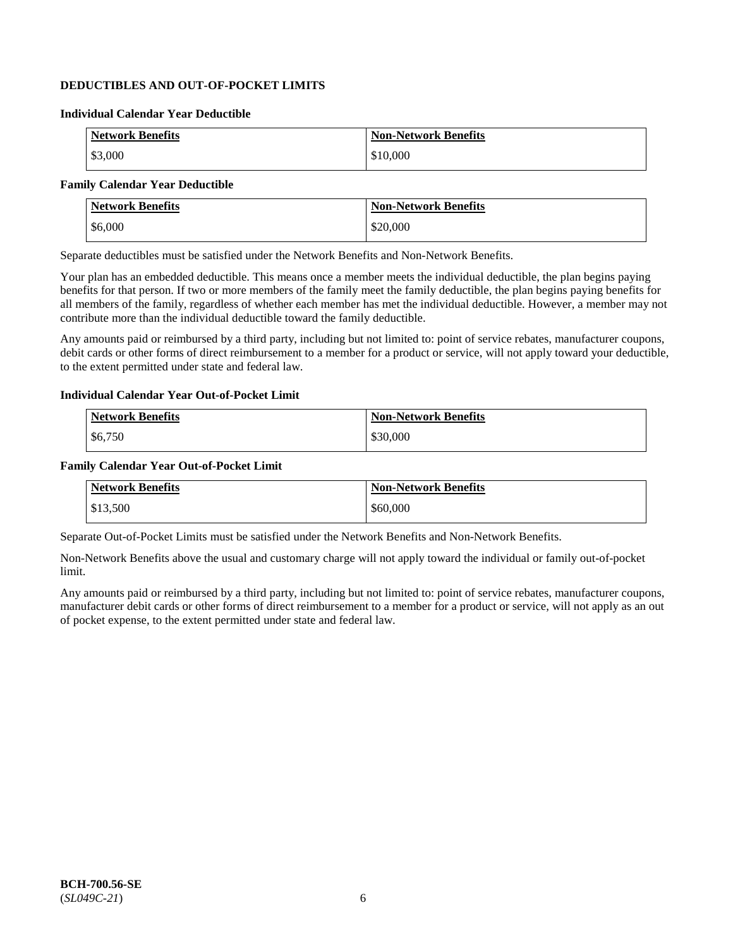## **DEDUCTIBLES AND OUT-OF-POCKET LIMITS**

### **Individual Calendar Year Deductible**

| <b>Network Benefits</b> | <b>Non-Network Benefits</b> |
|-------------------------|-----------------------------|
| \$3,000                 | \$10,000                    |

### **Family Calendar Year Deductible**

| <b>Network Benefits</b> | <b>Non-Network Benefits</b> |
|-------------------------|-----------------------------|
| $\frac{$6,000}{ }$      | \$20,000                    |

Separate deductibles must be satisfied under the Network Benefits and Non-Network Benefits.

Your plan has an embedded deductible. This means once a member meets the individual deductible, the plan begins paying benefits for that person. If two or more members of the family meet the family deductible, the plan begins paying benefits for all members of the family, regardless of whether each member has met the individual deductible. However, a member may not contribute more than the individual deductible toward the family deductible.

Any amounts paid or reimbursed by a third party, including but not limited to: point of service rebates, manufacturer coupons, debit cards or other forms of direct reimbursement to a member for a product or service, will not apply toward your deductible, to the extent permitted under state and federal law.

#### **Individual Calendar Year Out-of-Pocket Limit**

| <b>Network Benefits</b> | <b>Non-Network Benefits</b> |
|-------------------------|-----------------------------|
| \$6,750                 | \$30,000                    |

#### **Family Calendar Year Out-of-Pocket Limit**

| <b>Network Benefits</b> | Non-Network Benefits |
|-------------------------|----------------------|
| \$13.500                | \$60,000             |

Separate Out-of-Pocket Limits must be satisfied under the Network Benefits and Non-Network Benefits.

Non-Network Benefits above the usual and customary charge will not apply toward the individual or family out-of-pocket limit.

Any amounts paid or reimbursed by a third party, including but not limited to: point of service rebates, manufacturer coupons, manufacturer debit cards or other forms of direct reimbursement to a member for a product or service, will not apply as an out of pocket expense, to the extent permitted under state and federal law.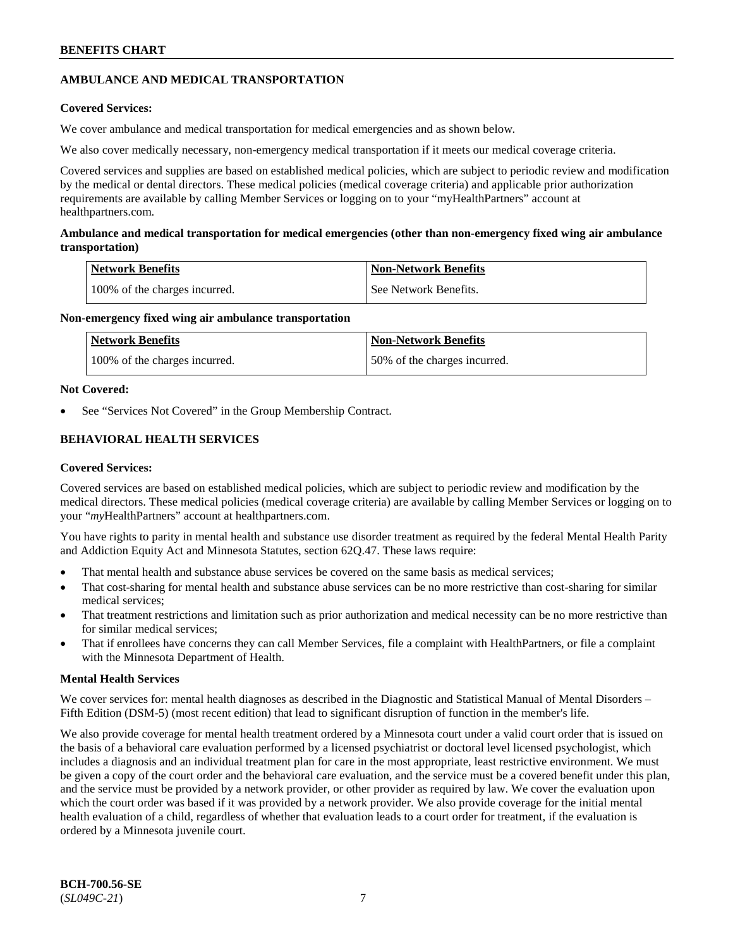## **AMBULANCE AND MEDICAL TRANSPORTATION**

### **Covered Services:**

We cover ambulance and medical transportation for medical emergencies and as shown below.

We also cover medically necessary, non-emergency medical transportation if it meets our medical coverage criteria.

Covered services and supplies are based on established medical policies, which are subject to periodic review and modification by the medical or dental directors. These medical policies (medical coverage criteria) and applicable prior authorization requirements are available by calling Member Services or logging on to your "myHealthPartners" account at [healthpartners.com.](https://www.healthpartners.com/hp/index.html)

### **Ambulance and medical transportation for medical emergencies (other than non-emergency fixed wing air ambulance transportation)**

| Network Benefits              | <b>Non-Network Benefits</b> |
|-------------------------------|-----------------------------|
| 100% of the charges incurred. | See Network Benefits.       |

### **Non-emergency fixed wing air ambulance transportation**

| <b>Network Benefits</b>       | <b>Non-Network Benefits</b>  |
|-------------------------------|------------------------------|
| 100% of the charges incurred. | 50% of the charges incurred. |

## **Not Covered:**

See "Services Not Covered" in the Group Membership Contract.

## **BEHAVIORAL HEALTH SERVICES**

### **Covered Services:**

Covered services are based on established medical policies, which are subject to periodic review and modification by the medical directors. These medical policies (medical coverage criteria) are available by calling Member Services or logging on to your "*my*HealthPartners" account at [healthpartners.com.](http://www.healthpartners.com/)

You have rights to parity in mental health and substance use disorder treatment as required by the federal Mental Health Parity and Addiction Equity Act and Minnesota Statutes, section 62Q.47. These laws require:

- That mental health and substance abuse services be covered on the same basis as medical services;
- That cost-sharing for mental health and substance abuse services can be no more restrictive than cost-sharing for similar medical services;
- That treatment restrictions and limitation such as prior authorization and medical necessity can be no more restrictive than for similar medical services;
- That if enrollees have concerns they can call Member Services, file a complaint with HealthPartners, or file a complaint with the Minnesota Department of Health.

### **Mental Health Services**

We cover services for: mental health diagnoses as described in the Diagnostic and Statistical Manual of Mental Disorders – Fifth Edition (DSM-5) (most recent edition) that lead to significant disruption of function in the member's life.

We also provide coverage for mental health treatment ordered by a Minnesota court under a valid court order that is issued on the basis of a behavioral care evaluation performed by a licensed psychiatrist or doctoral level licensed psychologist, which includes a diagnosis and an individual treatment plan for care in the most appropriate, least restrictive environment. We must be given a copy of the court order and the behavioral care evaluation, and the service must be a covered benefit under this plan, and the service must be provided by a network provider, or other provider as required by law. We cover the evaluation upon which the court order was based if it was provided by a network provider. We also provide coverage for the initial mental health evaluation of a child, regardless of whether that evaluation leads to a court order for treatment, if the evaluation is ordered by a Minnesota juvenile court.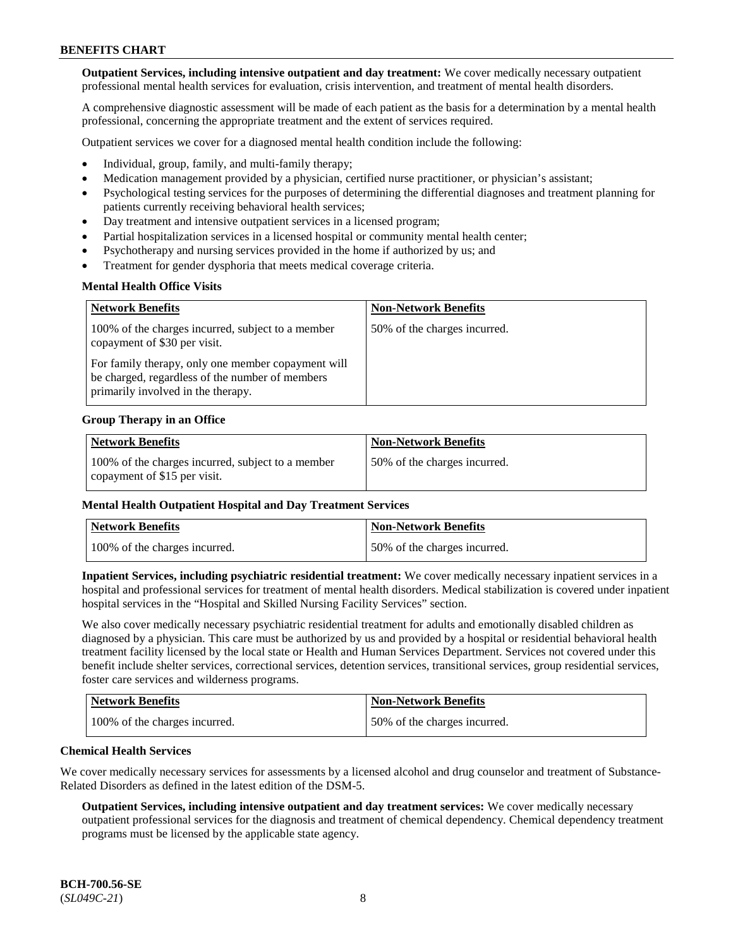**Outpatient Services, including intensive outpatient and day treatment:** We cover medically necessary outpatient professional mental health services for evaluation, crisis intervention, and treatment of mental health disorders.

A comprehensive diagnostic assessment will be made of each patient as the basis for a determination by a mental health professional, concerning the appropriate treatment and the extent of services required.

Outpatient services we cover for a diagnosed mental health condition include the following:

- Individual, group, family, and multi-family therapy;
- Medication management provided by a physician, certified nurse practitioner, or physician's assistant;
- Psychological testing services for the purposes of determining the differential diagnoses and treatment planning for patients currently receiving behavioral health services;
- Day treatment and intensive outpatient services in a licensed program;
- Partial hospitalization services in a licensed hospital or community mental health center;
- Psychotherapy and nursing services provided in the home if authorized by us; and
- Treatment for gender dysphoria that meets medical coverage criteria.

### **Mental Health Office Visits**

| <b>Network Benefits</b>                                                                                                                     | <b>Non-Network Benefits</b>  |
|---------------------------------------------------------------------------------------------------------------------------------------------|------------------------------|
| 100% of the charges incurred, subject to a member<br>copayment of \$30 per visit.                                                           | 50% of the charges incurred. |
| For family therapy, only one member copayment will<br>be charged, regardless of the number of members<br>primarily involved in the therapy. |                              |

#### **Group Therapy in an Office**

| <b>Network Benefits</b>                                                           | <b>Non-Network Benefits</b>  |
|-----------------------------------------------------------------------------------|------------------------------|
| 100% of the charges incurred, subject to a member<br>copayment of \$15 per visit. | 50% of the charges incurred. |

#### **Mental Health Outpatient Hospital and Day Treatment Services**

| Network Benefits              | <b>Non-Network Benefits</b>  |
|-------------------------------|------------------------------|
| 100% of the charges incurred. | 50% of the charges incurred. |

**Inpatient Services, including psychiatric residential treatment:** We cover medically necessary inpatient services in a hospital and professional services for treatment of mental health disorders. Medical stabilization is covered under inpatient hospital services in the "Hospital and Skilled Nursing Facility Services" section.

We also cover medically necessary psychiatric residential treatment for adults and emotionally disabled children as diagnosed by a physician. This care must be authorized by us and provided by a hospital or residential behavioral health treatment facility licensed by the local state or Health and Human Services Department. Services not covered under this benefit include shelter services, correctional services, detention services, transitional services, group residential services, foster care services and wilderness programs.

| Network Benefits              | <b>Non-Network Benefits</b>  |
|-------------------------------|------------------------------|
| 100% of the charges incurred. | 50% of the charges incurred. |

#### **Chemical Health Services**

We cover medically necessary services for assessments by a licensed alcohol and drug counselor and treatment of Substance-Related Disorders as defined in the latest edition of the DSM-5.

**Outpatient Services, including intensive outpatient and day treatment services:** We cover medically necessary outpatient professional services for the diagnosis and treatment of chemical dependency. Chemical dependency treatment programs must be licensed by the applicable state agency.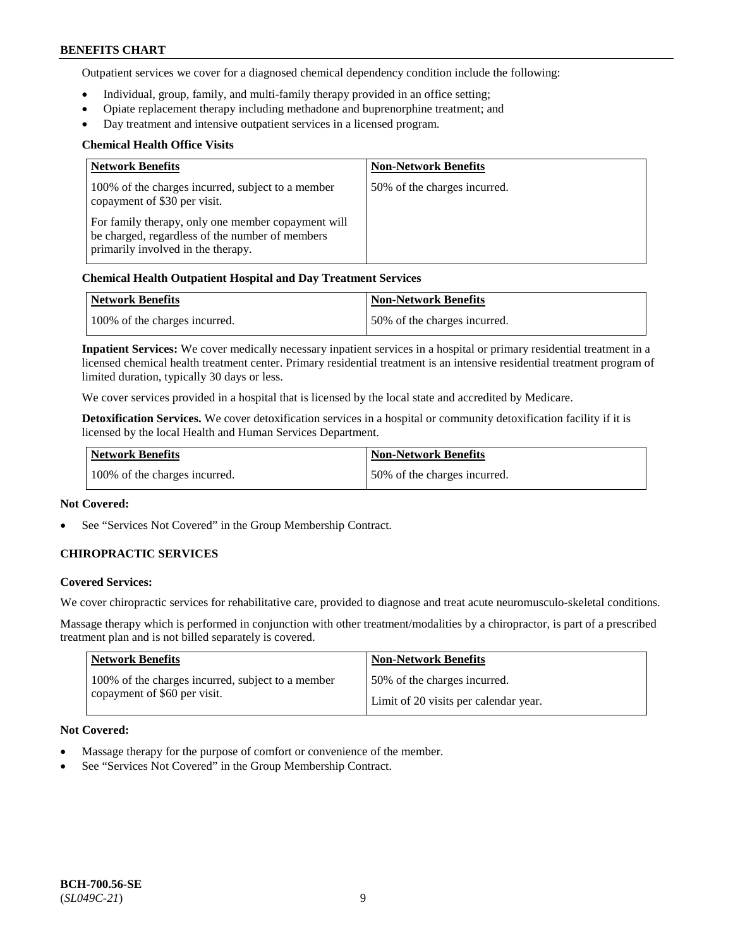Outpatient services we cover for a diagnosed chemical dependency condition include the following:

- Individual, group, family, and multi-family therapy provided in an office setting;
- Opiate replacement therapy including methadone and buprenorphine treatment; and
- Day treatment and intensive outpatient services in a licensed program.

### **Chemical Health Office Visits**

| <b>Network Benefits</b>                                                                                                                     | <b>Non-Network Benefits</b>  |
|---------------------------------------------------------------------------------------------------------------------------------------------|------------------------------|
| 100% of the charges incurred, subject to a member<br>copayment of \$30 per visit.                                                           | 50% of the charges incurred. |
| For family therapy, only one member copayment will<br>be charged, regardless of the number of members<br>primarily involved in the therapy. |                              |

## **Chemical Health Outpatient Hospital and Day Treatment Services**

| Network Benefits              | Non-Network Benefits         |
|-------------------------------|------------------------------|
| 100% of the charges incurred. | 50% of the charges incurred. |

**Inpatient Services:** We cover medically necessary inpatient services in a hospital or primary residential treatment in a licensed chemical health treatment center. Primary residential treatment is an intensive residential treatment program of limited duration, typically 30 days or less.

We cover services provided in a hospital that is licensed by the local state and accredited by Medicare.

**Detoxification Services.** We cover detoxification services in a hospital or community detoxification facility if it is licensed by the local Health and Human Services Department.

| <b>Network Benefits</b>       | Non-Network Benefits         |
|-------------------------------|------------------------------|
| 100% of the charges incurred. | 50% of the charges incurred. |

### **Not Covered:**

See "Services Not Covered" in the Group Membership Contract.

### **CHIROPRACTIC SERVICES**

### **Covered Services:**

We cover chiropractic services for rehabilitative care, provided to diagnose and treat acute neuromusculo-skeletal conditions.

Massage therapy which is performed in conjunction with other treatment/modalities by a chiropractor, is part of a prescribed treatment plan and is not billed separately is covered.

| <b>Network Benefits</b>                           | <b>Non-Network Benefits</b>           |
|---------------------------------------------------|---------------------------------------|
| 100% of the charges incurred, subject to a member | 50% of the charges incurred.          |
| copayment of \$60 per visit.                      | Limit of 20 visits per calendar year. |

#### **Not Covered:**

- Massage therapy for the purpose of comfort or convenience of the member.
- See "Services Not Covered" in the Group Membership Contract.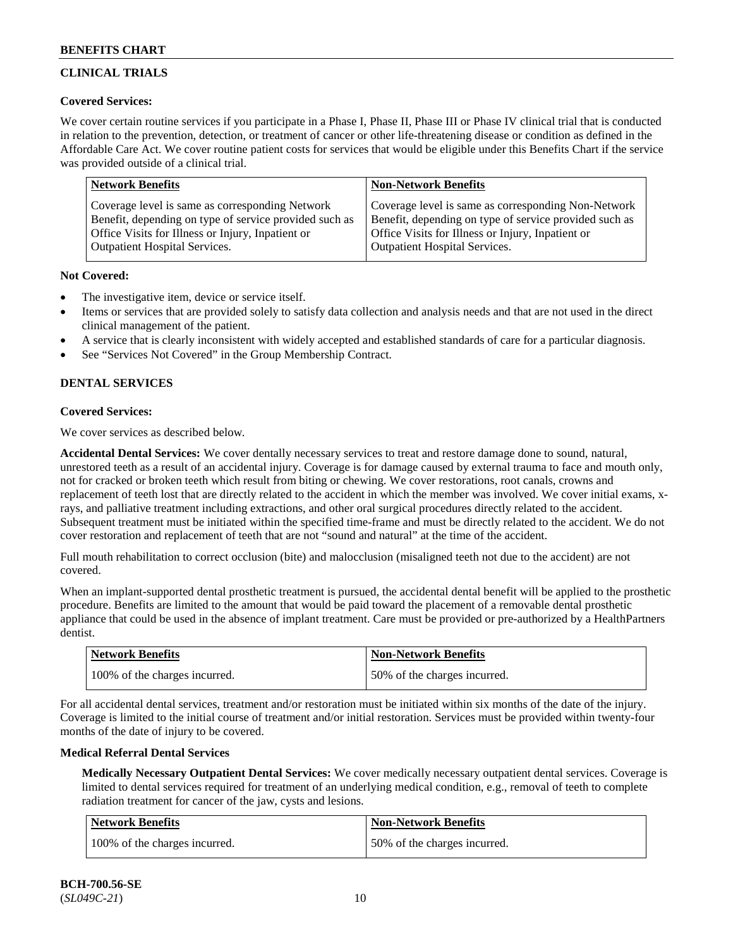## **CLINICAL TRIALS**

### **Covered Services:**

We cover certain routine services if you participate in a Phase I, Phase II, Phase III or Phase IV clinical trial that is conducted in relation to the prevention, detection, or treatment of cancer or other life-threatening disease or condition as defined in the Affordable Care Act. We cover routine patient costs for services that would be eligible under this Benefits Chart if the service was provided outside of a clinical trial.

| <b>Network Benefits</b>                                | <b>Non-Network Benefits</b>                            |
|--------------------------------------------------------|--------------------------------------------------------|
| Coverage level is same as corresponding Network        | Coverage level is same as corresponding Non-Network    |
| Benefit, depending on type of service provided such as | Benefit, depending on type of service provided such as |
| Office Visits for Illness or Injury, Inpatient or      | Office Visits for Illness or Injury, Inpatient or      |
| <b>Outpatient Hospital Services.</b>                   | Outpatient Hospital Services.                          |

### **Not Covered:**

- The investigative item, device or service itself.
- Items or services that are provided solely to satisfy data collection and analysis needs and that are not used in the direct clinical management of the patient.
- A service that is clearly inconsistent with widely accepted and established standards of care for a particular diagnosis.
- See "Services Not Covered" in the Group Membership Contract.

## **DENTAL SERVICES**

## **Covered Services:**

We cover services as described below.

**Accidental Dental Services:** We cover dentally necessary services to treat and restore damage done to sound, natural, unrestored teeth as a result of an accidental injury. Coverage is for damage caused by external trauma to face and mouth only, not for cracked or broken teeth which result from biting or chewing. We cover restorations, root canals, crowns and replacement of teeth lost that are directly related to the accident in which the member was involved. We cover initial exams, xrays, and palliative treatment including extractions, and other oral surgical procedures directly related to the accident. Subsequent treatment must be initiated within the specified time-frame and must be directly related to the accident. We do not cover restoration and replacement of teeth that are not "sound and natural" at the time of the accident.

Full mouth rehabilitation to correct occlusion (bite) and malocclusion (misaligned teeth not due to the accident) are not covered.

When an implant-supported dental prosthetic treatment is pursued, the accidental dental benefit will be applied to the prosthetic procedure. Benefits are limited to the amount that would be paid toward the placement of a removable dental prosthetic appliance that could be used in the absence of implant treatment. Care must be provided or pre-authorized by a HealthPartners dentist.

| Network Benefits              | <b>Non-Network Benefits</b>  |
|-------------------------------|------------------------------|
| 100% of the charges incurred. | 50% of the charges incurred. |

For all accidental dental services, treatment and/or restoration must be initiated within six months of the date of the injury. Coverage is limited to the initial course of treatment and/or initial restoration. Services must be provided within twenty-four months of the date of injury to be covered.

### **Medical Referral Dental Services**

**Medically Necessary Outpatient Dental Services:** We cover medically necessary outpatient dental services. Coverage is limited to dental services required for treatment of an underlying medical condition, e.g., removal of teeth to complete radiation treatment for cancer of the jaw, cysts and lesions.

| <b>Network Benefits</b>       | Non-Network Benefits         |
|-------------------------------|------------------------------|
| 100% of the charges incurred. | 50% of the charges incurred. |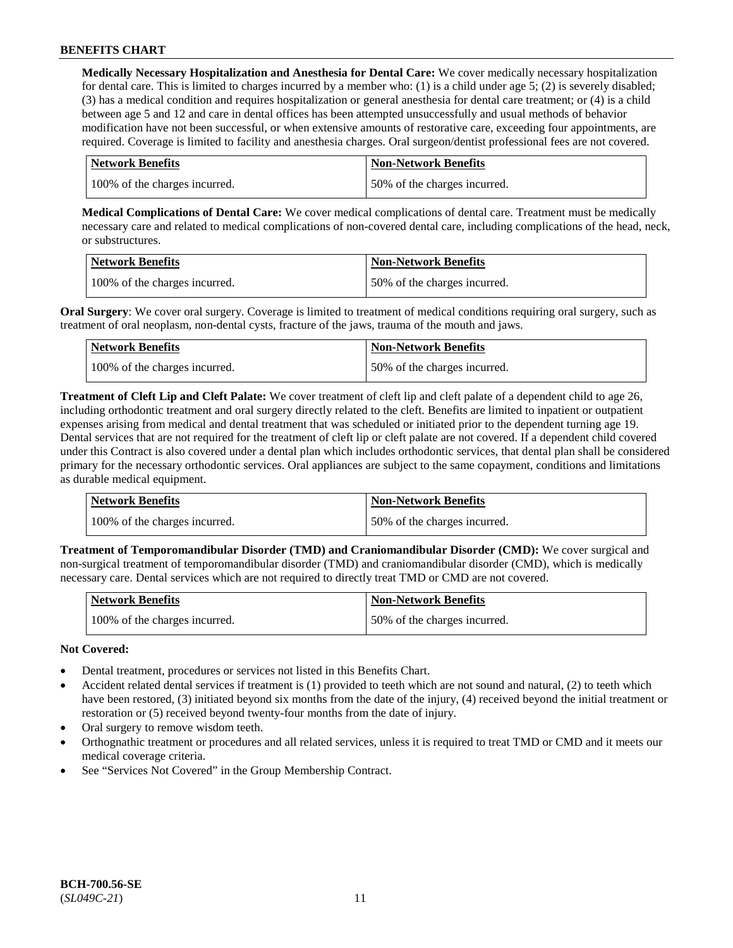**Medically Necessary Hospitalization and Anesthesia for Dental Care:** We cover medically necessary hospitalization for dental care. This is limited to charges incurred by a member who: (1) is a child under age  $5$ ; (2) is severely disabled; (3) has a medical condition and requires hospitalization or general anesthesia for dental care treatment; or (4) is a child between age 5 and 12 and care in dental offices has been attempted unsuccessfully and usual methods of behavior modification have not been successful, or when extensive amounts of restorative care, exceeding four appointments, are required. Coverage is limited to facility and anesthesia charges. Oral surgeon/dentist professional fees are not covered.

| <b>Network Benefits</b>       | <b>Non-Network Benefits</b>  |
|-------------------------------|------------------------------|
| 100% of the charges incurred. | 50% of the charges incurred. |

**Medical Complications of Dental Care:** We cover medical complications of dental care. Treatment must be medically necessary care and related to medical complications of non-covered dental care, including complications of the head, neck, or substructures.

| <b>Network Benefits</b>       | <b>Non-Network Benefits</b>  |
|-------------------------------|------------------------------|
| 100% of the charges incurred. | 50% of the charges incurred. |

**Oral Surgery**: We cover oral surgery. Coverage is limited to treatment of medical conditions requiring oral surgery, such as treatment of oral neoplasm, non-dental cysts, fracture of the jaws, trauma of the mouth and jaws.

| <b>Network Benefits</b>       | Non-Network Benefits         |
|-------------------------------|------------------------------|
| 100% of the charges incurred. | 50% of the charges incurred. |

**Treatment of Cleft Lip and Cleft Palate:** We cover treatment of cleft lip and cleft palate of a dependent child to age 26, including orthodontic treatment and oral surgery directly related to the cleft. Benefits are limited to inpatient or outpatient expenses arising from medical and dental treatment that was scheduled or initiated prior to the dependent turning age 19. Dental services that are not required for the treatment of cleft lip or cleft palate are not covered. If a dependent child covered under this Contract is also covered under a dental plan which includes orthodontic services, that dental plan shall be considered primary for the necessary orthodontic services. Oral appliances are subject to the same copayment, conditions and limitations as durable medical equipment.

| Network Benefits              | <b>Non-Network Benefits</b>  |
|-------------------------------|------------------------------|
| 100% of the charges incurred. | 50% of the charges incurred. |

**Treatment of Temporomandibular Disorder (TMD) and Craniomandibular Disorder (CMD):** We cover surgical and non-surgical treatment of temporomandibular disorder (TMD) and craniomandibular disorder (CMD), which is medically necessary care. Dental services which are not required to directly treat TMD or CMD are not covered.

| <b>Network Benefits</b>       | <b>Non-Network Benefits</b>  |
|-------------------------------|------------------------------|
| 100% of the charges incurred. | 50% of the charges incurred. |

### **Not Covered:**

- Dental treatment, procedures or services not listed in this Benefits Chart.
- Accident related dental services if treatment is (1) provided to teeth which are not sound and natural, (2) to teeth which have been restored, (3) initiated beyond six months from the date of the injury, (4) received beyond the initial treatment or restoration or (5) received beyond twenty-four months from the date of injury.
- Oral surgery to remove wisdom teeth.
- Orthognathic treatment or procedures and all related services, unless it is required to treat TMD or CMD and it meets our medical coverage criteria.
- See "Services Not Covered" in the Group Membership Contract.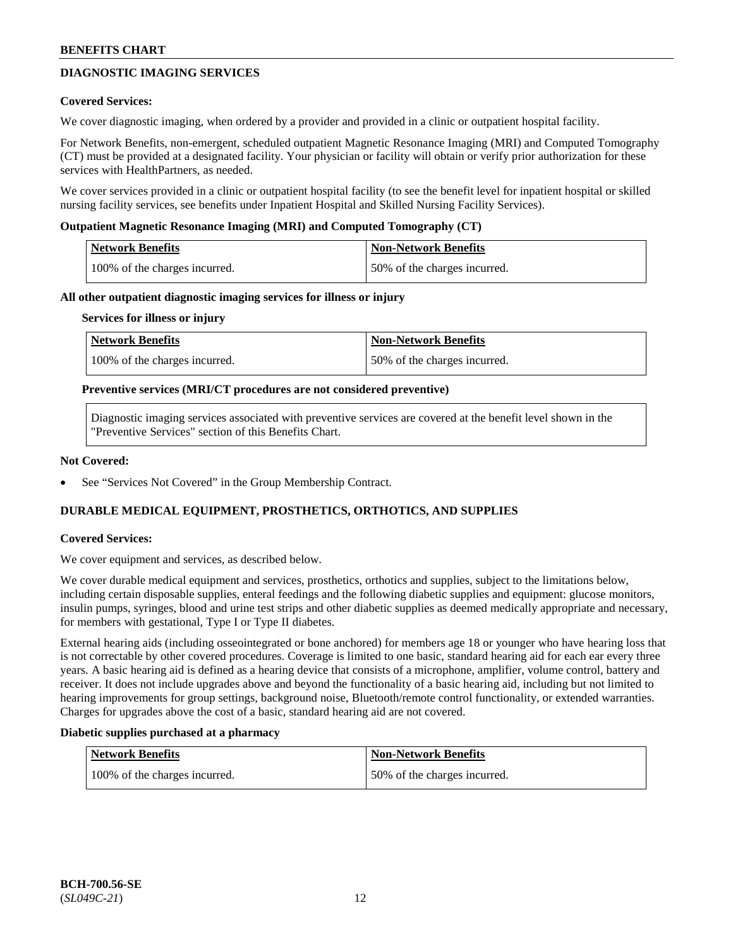## **DIAGNOSTIC IMAGING SERVICES**

### **Covered Services:**

We cover diagnostic imaging, when ordered by a provider and provided in a clinic or outpatient hospital facility.

For Network Benefits, non-emergent, scheduled outpatient Magnetic Resonance Imaging (MRI) and Computed Tomography (CT) must be provided at a designated facility. Your physician or facility will obtain or verify prior authorization for these services with HealthPartners, as needed.

We cover services provided in a clinic or outpatient hospital facility (to see the benefit level for inpatient hospital or skilled nursing facility services, see benefits under Inpatient Hospital and Skilled Nursing Facility Services).

### **Outpatient Magnetic Resonance Imaging (MRI) and Computed Tomography (CT)**

| Network Benefits              | <b>Non-Network Benefits</b>  |
|-------------------------------|------------------------------|
| 100% of the charges incurred. | 50% of the charges incurred. |

#### **All other outpatient diagnostic imaging services for illness or injury**

#### **Services for illness or injury**

| Network Benefits              | <b>Non-Network Benefits</b>  |
|-------------------------------|------------------------------|
| 100% of the charges incurred. | 50% of the charges incurred. |

#### **Preventive services (MRI/CT procedures are not considered preventive)**

Diagnostic imaging services associated with preventive services are covered at the benefit level shown in the "Preventive Services" section of this Benefits Chart.

#### **Not Covered:**

See "Services Not Covered" in the Group Membership Contract.

### **DURABLE MEDICAL EQUIPMENT, PROSTHETICS, ORTHOTICS, AND SUPPLIES**

### **Covered Services:**

We cover equipment and services, as described below.

We cover durable medical equipment and services, prosthetics, orthotics and supplies, subject to the limitations below, including certain disposable supplies, enteral feedings and the following diabetic supplies and equipment: glucose monitors, insulin pumps, syringes, blood and urine test strips and other diabetic supplies as deemed medically appropriate and necessary, for members with gestational, Type I or Type II diabetes.

External hearing aids (including osseointegrated or bone anchored) for members age 18 or younger who have hearing loss that is not correctable by other covered procedures. Coverage is limited to one basic, standard hearing aid for each ear every three years. A basic hearing aid is defined as a hearing device that consists of a microphone, amplifier, volume control, battery and receiver. It does not include upgrades above and beyond the functionality of a basic hearing aid, including but not limited to hearing improvements for group settings, background noise, Bluetooth/remote control functionality, or extended warranties. Charges for upgrades above the cost of a basic, standard hearing aid are not covered.

#### **Diabetic supplies purchased at a pharmacy**

| Network Benefits              | Non-Network Benefits         |
|-------------------------------|------------------------------|
| 100% of the charges incurred. | 50% of the charges incurred. |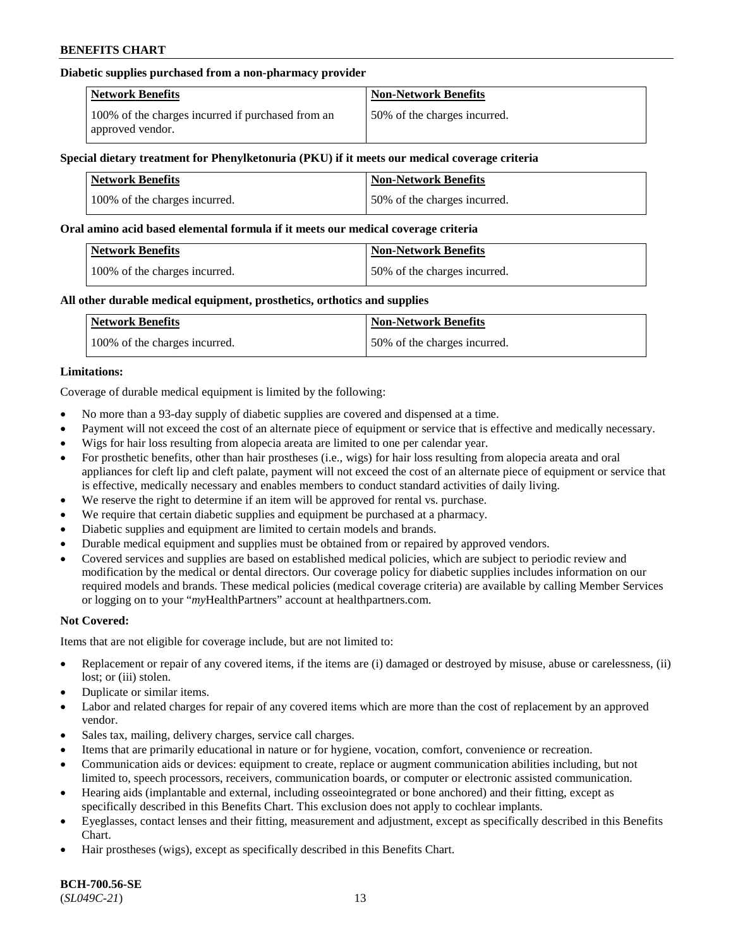#### **Diabetic supplies purchased from a non-pharmacy provider**

| <b>Network Benefits</b>                                               | <b>Non-Network Benefits</b>  |
|-----------------------------------------------------------------------|------------------------------|
| 100% of the charges incurred if purchased from an<br>approved vendor. | 50% of the charges incurred. |

#### **Special dietary treatment for Phenylketonuria (PKU) if it meets our medical coverage criteria**

| <b>Network Benefits</b>       | <b>Non-Network Benefits</b>  |
|-------------------------------|------------------------------|
| 100% of the charges incurred. | 50% of the charges incurred. |

#### **Oral amino acid based elemental formula if it meets our medical coverage criteria**

| Network Benefits              | Non-Network Benefits         |
|-------------------------------|------------------------------|
| 100% of the charges incurred. | 50% of the charges incurred. |

#### **All other durable medical equipment, prosthetics, orthotics and supplies**

| Network Benefits              | <b>Non-Network Benefits</b>  |
|-------------------------------|------------------------------|
| 100% of the charges incurred. | 50% of the charges incurred. |

#### **Limitations:**

Coverage of durable medical equipment is limited by the following:

- No more than a 93-day supply of diabetic supplies are covered and dispensed at a time.
- Payment will not exceed the cost of an alternate piece of equipment or service that is effective and medically necessary.
- Wigs for hair loss resulting from alopecia areata are limited to one per calendar year.
- For prosthetic benefits, other than hair prostheses (i.e., wigs) for hair loss resulting from alopecia areata and oral appliances for cleft lip and cleft palate, payment will not exceed the cost of an alternate piece of equipment or service that is effective, medically necessary and enables members to conduct standard activities of daily living.
- We reserve the right to determine if an item will be approved for rental vs. purchase.
- We require that certain diabetic supplies and equipment be purchased at a pharmacy.
- Diabetic supplies and equipment are limited to certain models and brands.
- Durable medical equipment and supplies must be obtained from or repaired by approved vendors.
- Covered services and supplies are based on established medical policies, which are subject to periodic review and modification by the medical or dental directors. Our coverage policy for diabetic supplies includes information on our required models and brands. These medical policies (medical coverage criteria) are available by calling Member Services or logging on to your "*my*HealthPartners" account a[t healthpartners.com.](https://www.healthpartners.com/hp/index.html)

### **Not Covered:**

Items that are not eligible for coverage include, but are not limited to:

- Replacement or repair of any covered items, if the items are (i) damaged or destroyed by misuse, abuse or carelessness, (ii) lost; or (iii) stolen.
- Duplicate or similar items.
- Labor and related charges for repair of any covered items which are more than the cost of replacement by an approved vendor.
- Sales tax, mailing, delivery charges, service call charges.
- Items that are primarily educational in nature or for hygiene, vocation, comfort, convenience or recreation.
- Communication aids or devices: equipment to create, replace or augment communication abilities including, but not limited to, speech processors, receivers, communication boards, or computer or electronic assisted communication.
- Hearing aids (implantable and external, including osseointegrated or bone anchored) and their fitting, except as specifically described in this Benefits Chart. This exclusion does not apply to cochlear implants.
- Eyeglasses, contact lenses and their fitting, measurement and adjustment, except as specifically described in this Benefits Chart.
- Hair prostheses (wigs), except as specifically described in this Benefits Chart.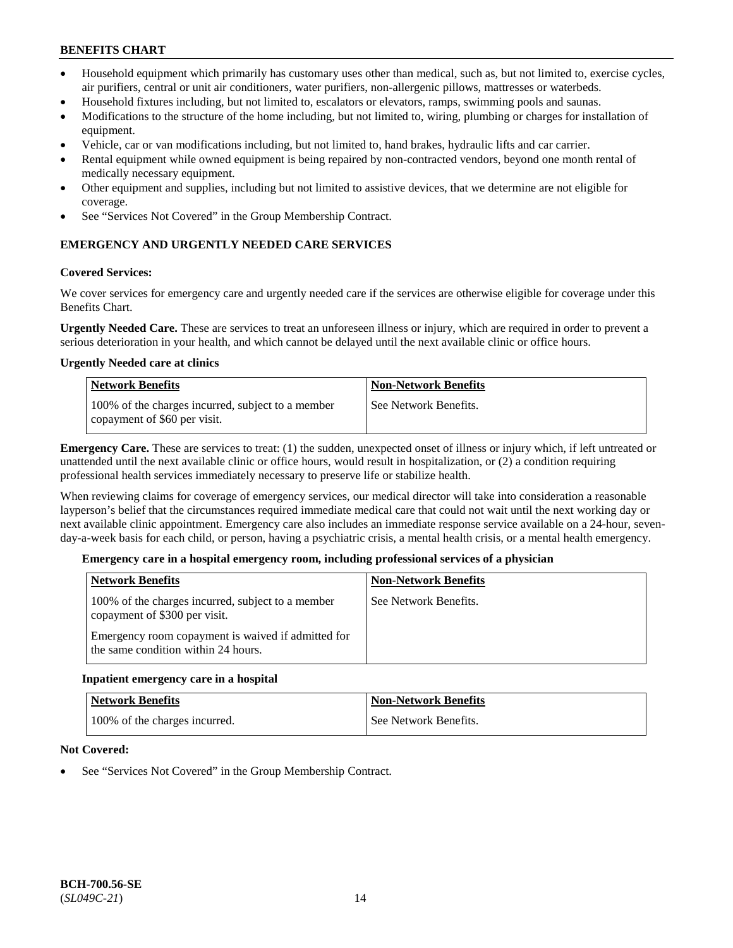- Household equipment which primarily has customary uses other than medical, such as, but not limited to, exercise cycles, air purifiers, central or unit air conditioners, water purifiers, non-allergenic pillows, mattresses or waterbeds.
- Household fixtures including, but not limited to, escalators or elevators, ramps, swimming pools and saunas.
- Modifications to the structure of the home including, but not limited to, wiring, plumbing or charges for installation of equipment.
- Vehicle, car or van modifications including, but not limited to, hand brakes, hydraulic lifts and car carrier.
- Rental equipment while owned equipment is being repaired by non-contracted vendors, beyond one month rental of medically necessary equipment.
- Other equipment and supplies, including but not limited to assistive devices, that we determine are not eligible for coverage.
- See "Services Not Covered" in the Group Membership Contract.

## **EMERGENCY AND URGENTLY NEEDED CARE SERVICES**

### **Covered Services:**

We cover services for emergency care and urgently needed care if the services are otherwise eligible for coverage under this Benefits Chart.

**Urgently Needed Care.** These are services to treat an unforeseen illness or injury, which are required in order to prevent a serious deterioration in your health, and which cannot be delayed until the next available clinic or office hours.

### **Urgently Needed care at clinics**

| <b>Network Benefits</b>                                                           | <b>Non-Network Benefits</b> |
|-----------------------------------------------------------------------------------|-----------------------------|
| 100% of the charges incurred, subject to a member<br>copayment of \$60 per visit. | See Network Benefits.       |

**Emergency Care.** These are services to treat: (1) the sudden, unexpected onset of illness or injury which, if left untreated or unattended until the next available clinic or office hours, would result in hospitalization, or (2) a condition requiring professional health services immediately necessary to preserve life or stabilize health.

When reviewing claims for coverage of emergency services, our medical director will take into consideration a reasonable layperson's belief that the circumstances required immediate medical care that could not wait until the next working day or next available clinic appointment. Emergency care also includes an immediate response service available on a 24-hour, sevenday-a-week basis for each child, or person, having a psychiatric crisis, a mental health crisis, or a mental health emergency.

### **Emergency care in a hospital emergency room, including professional services of a physician**

| <b>Network Benefits</b>                                                                   | <b>Non-Network Benefits</b> |
|-------------------------------------------------------------------------------------------|-----------------------------|
| 100% of the charges incurred, subject to a member<br>copayment of \$300 per visit.        | See Network Benefits.       |
| Emergency room copayment is waived if admitted for<br>the same condition within 24 hours. |                             |

### **Inpatient emergency care in a hospital**

| <b>Network Benefits</b>       | <b>Non-Network Benefits</b> |
|-------------------------------|-----------------------------|
| 100% of the charges incurred. | See Network Benefits.       |

### **Not Covered:**

See "Services Not Covered" in the Group Membership Contract.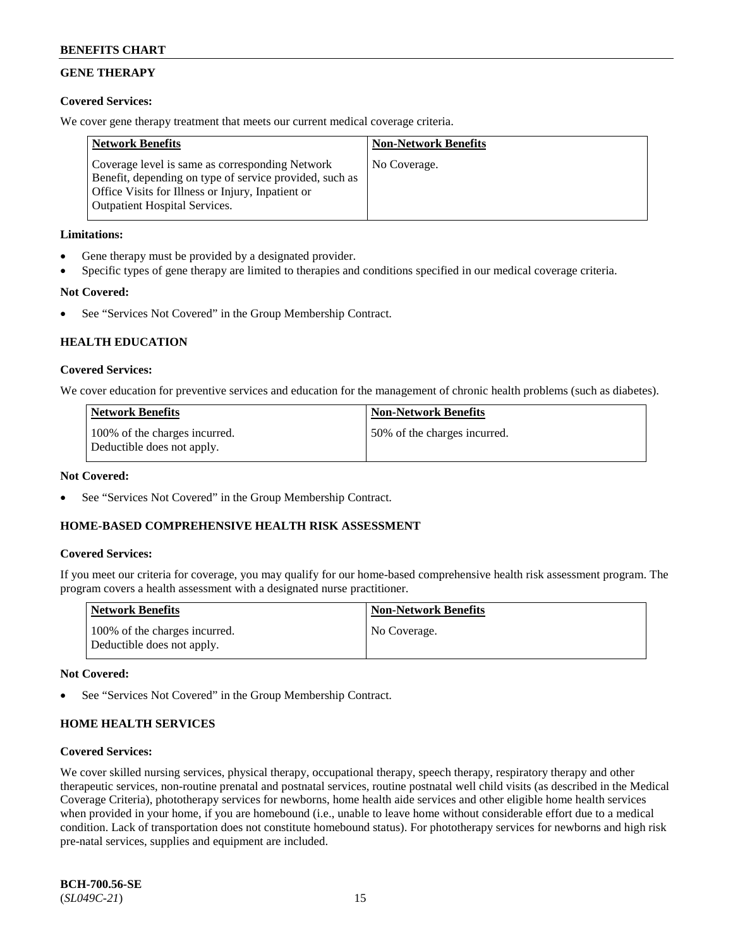## **GENE THERAPY**

### **Covered Services:**

We cover gene therapy treatment that meets our current medical coverage criteria.

| <b>Network Benefits</b>                                                                                                                                                                                 | <b>Non-Network Benefits</b> |
|---------------------------------------------------------------------------------------------------------------------------------------------------------------------------------------------------------|-----------------------------|
| Coverage level is same as corresponding Network<br>Benefit, depending on type of service provided, such as<br>Office Visits for Illness or Injury, Inpatient or<br><b>Outpatient Hospital Services.</b> | No Coverage.                |

### **Limitations:**

- Gene therapy must be provided by a designated provider.
- Specific types of gene therapy are limited to therapies and conditions specified in our medical coverage criteria.

## **Not Covered:**

See "Services Not Covered" in the Group Membership Contract.

## **HEALTH EDUCATION**

### **Covered Services:**

We cover education for preventive services and education for the management of chronic health problems (such as diabetes).

| <b>Network Benefits</b>                                     | <b>Non-Network Benefits</b>   |
|-------------------------------------------------------------|-------------------------------|
| 100% of the charges incurred.<br>Deductible does not apply. | 150% of the charges incurred. |

### **Not Covered:**

See "Services Not Covered" in the Group Membership Contract.

### **HOME-BASED COMPREHENSIVE HEALTH RISK ASSESSMENT**

### **Covered Services:**

If you meet our criteria for coverage, you may qualify for our home-based comprehensive health risk assessment program. The program covers a health assessment with a designated nurse practitioner.

| <b>Network Benefits</b>                                     | <b>Non-Network Benefits</b> |
|-------------------------------------------------------------|-----------------------------|
| 100% of the charges incurred.<br>Deductible does not apply. | No Coverage.                |

### **Not Covered:**

See "Services Not Covered" in the Group Membership Contract.

### **HOME HEALTH SERVICES**

### **Covered Services:**

We cover skilled nursing services, physical therapy, occupational therapy, speech therapy, respiratory therapy and other therapeutic services, non-routine prenatal and postnatal services, routine postnatal well child visits (as described in the Medical Coverage Criteria), phototherapy services for newborns, home health aide services and other eligible home health services when provided in your home, if you are homebound (i.e., unable to leave home without considerable effort due to a medical condition. Lack of transportation does not constitute homebound status). For phototherapy services for newborns and high risk pre-natal services, supplies and equipment are included.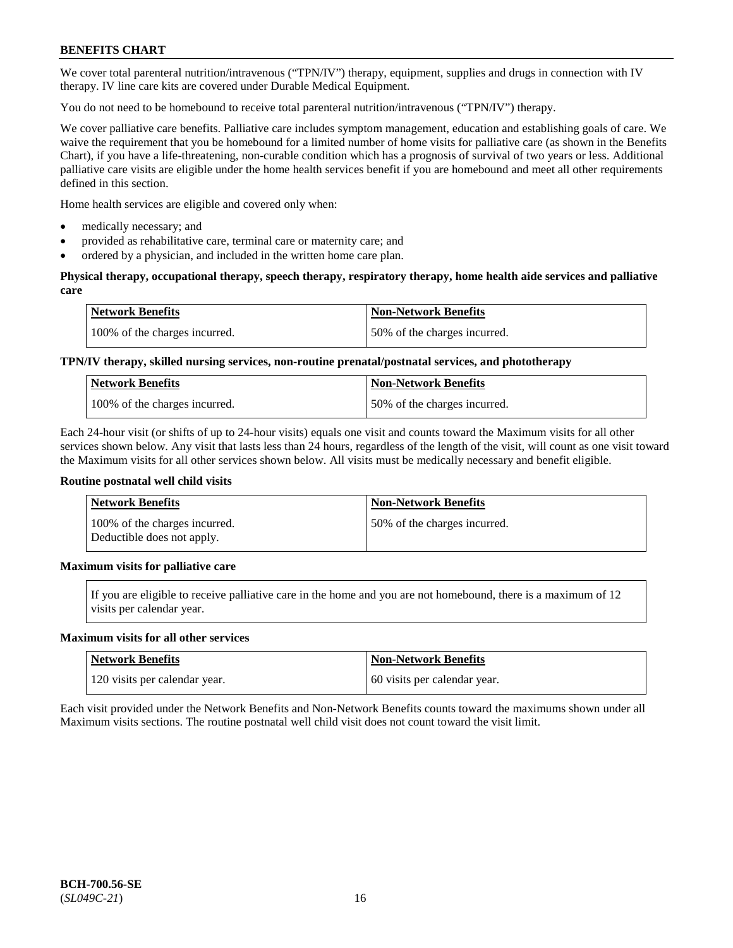We cover total parenteral nutrition/intravenous ("TPN/IV") therapy, equipment, supplies and drugs in connection with IV therapy. IV line care kits are covered under Durable Medical Equipment.

You do not need to be homebound to receive total parenteral nutrition/intravenous ("TPN/IV") therapy.

We cover palliative care benefits. Palliative care includes symptom management, education and establishing goals of care. We waive the requirement that you be homebound for a limited number of home visits for palliative care (as shown in the Benefits Chart), if you have a life-threatening, non-curable condition which has a prognosis of survival of two years or less. Additional palliative care visits are eligible under the home health services benefit if you are homebound and meet all other requirements defined in this section.

Home health services are eligible and covered only when:

- medically necessary; and
- provided as rehabilitative care, terminal care or maternity care; and
- ordered by a physician, and included in the written home care plan.

### **Physical therapy, occupational therapy, speech therapy, respiratory therapy, home health aide services and palliative care**

| Network Benefits              | Non-Network Benefits         |
|-------------------------------|------------------------------|
| 100% of the charges incurred. | 50% of the charges incurred. |

## **TPN/IV therapy, skilled nursing services, non-routine prenatal/postnatal services, and phototherapy**

| <b>Network Benefits</b>       | <b>Non-Network Benefits</b>  |
|-------------------------------|------------------------------|
| 100% of the charges incurred. | 50% of the charges incurred. |

Each 24-hour visit (or shifts of up to 24-hour visits) equals one visit and counts toward the Maximum visits for all other services shown below. Any visit that lasts less than 24 hours, regardless of the length of the visit, will count as one visit toward the Maximum visits for all other services shown below. All visits must be medically necessary and benefit eligible.

#### **Routine postnatal well child visits**

| <b>Network Benefits</b>                                     | <b>Non-Network Benefits</b>   |
|-------------------------------------------------------------|-------------------------------|
| 100% of the charges incurred.<br>Deductible does not apply. | 150% of the charges incurred. |

### **Maximum visits for palliative care**

If you are eligible to receive palliative care in the home and you are not homebound, there is a maximum of 12 visits per calendar year.

#### **Maximum visits for all other services**

| <b>Network Benefits</b>       | <b>Non-Network Benefits</b>  |
|-------------------------------|------------------------------|
| 120 visits per calendar year. | 60 visits per calendar year. |

Each visit provided under the Network Benefits and Non-Network Benefits counts toward the maximums shown under all Maximum visits sections. The routine postnatal well child visit does not count toward the visit limit.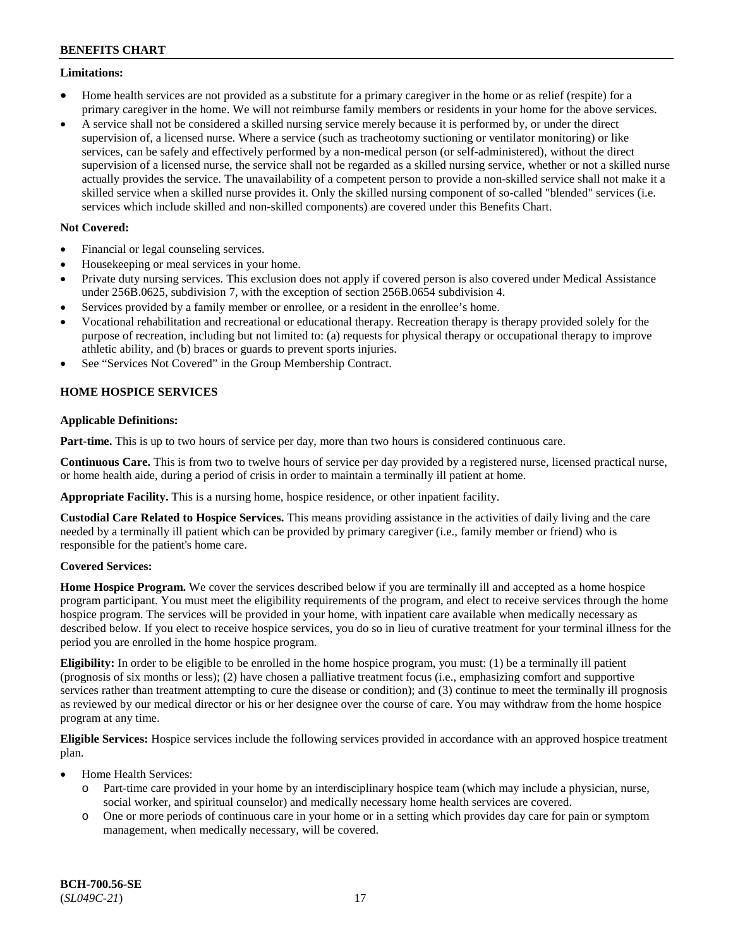### **Limitations:**

- Home health services are not provided as a substitute for a primary caregiver in the home or as relief (respite) for a primary caregiver in the home. We will not reimburse family members or residents in your home for the above services.
- A service shall not be considered a skilled nursing service merely because it is performed by, or under the direct supervision of, a licensed nurse. Where a service (such as tracheotomy suctioning or ventilator monitoring) or like services, can be safely and effectively performed by a non-medical person (or self-administered), without the direct supervision of a licensed nurse, the service shall not be regarded as a skilled nursing service, whether or not a skilled nurse actually provides the service. The unavailability of a competent person to provide a non-skilled service shall not make it a skilled service when a skilled nurse provides it. Only the skilled nursing component of so-called "blended" services (i.e. services which include skilled and non-skilled components) are covered under this Benefits Chart.

### **Not Covered:**

- Financial or legal counseling services.
- Housekeeping or meal services in your home.
- Private duty nursing services. This exclusion does not apply if covered person is also covered under Medical Assistance under 256B.0625, subdivision 7, with the exception of section 256B.0654 subdivision 4.
- Services provided by a family member or enrollee, or a resident in the enrollee's home.
- Vocational rehabilitation and recreational or educational therapy. Recreation therapy is therapy provided solely for the purpose of recreation, including but not limited to: (a) requests for physical therapy or occupational therapy to improve athletic ability, and (b) braces or guards to prevent sports injuries.
- See "Services Not Covered" in the Group Membership Contract.

## **HOME HOSPICE SERVICES**

#### **Applicable Definitions:**

**Part-time.** This is up to two hours of service per day, more than two hours is considered continuous care.

**Continuous Care.** This is from two to twelve hours of service per day provided by a registered nurse, licensed practical nurse, or home health aide, during a period of crisis in order to maintain a terminally ill patient at home.

**Appropriate Facility.** This is a nursing home, hospice residence, or other inpatient facility.

**Custodial Care Related to Hospice Services.** This means providing assistance in the activities of daily living and the care needed by a terminally ill patient which can be provided by primary caregiver (i.e., family member or friend) who is responsible for the patient's home care.

### **Covered Services:**

**Home Hospice Program.** We cover the services described below if you are terminally ill and accepted as a home hospice program participant. You must meet the eligibility requirements of the program, and elect to receive services through the home hospice program. The services will be provided in your home, with inpatient care available when medically necessary as described below. If you elect to receive hospice services, you do so in lieu of curative treatment for your terminal illness for the period you are enrolled in the home hospice program.

**Eligibility:** In order to be eligible to be enrolled in the home hospice program, you must: (1) be a terminally ill patient (prognosis of six months or less); (2) have chosen a palliative treatment focus (i.e., emphasizing comfort and supportive services rather than treatment attempting to cure the disease or condition); and (3) continue to meet the terminally ill prognosis as reviewed by our medical director or his or her designee over the course of care. You may withdraw from the home hospice program at any time.

**Eligible Services:** Hospice services include the following services provided in accordance with an approved hospice treatment plan.

- Home Health Services:
	- o Part-time care provided in your home by an interdisciplinary hospice team (which may include a physician, nurse, social worker, and spiritual counselor) and medically necessary home health services are covered.
	- o One or more periods of continuous care in your home or in a setting which provides day care for pain or symptom management, when medically necessary, will be covered.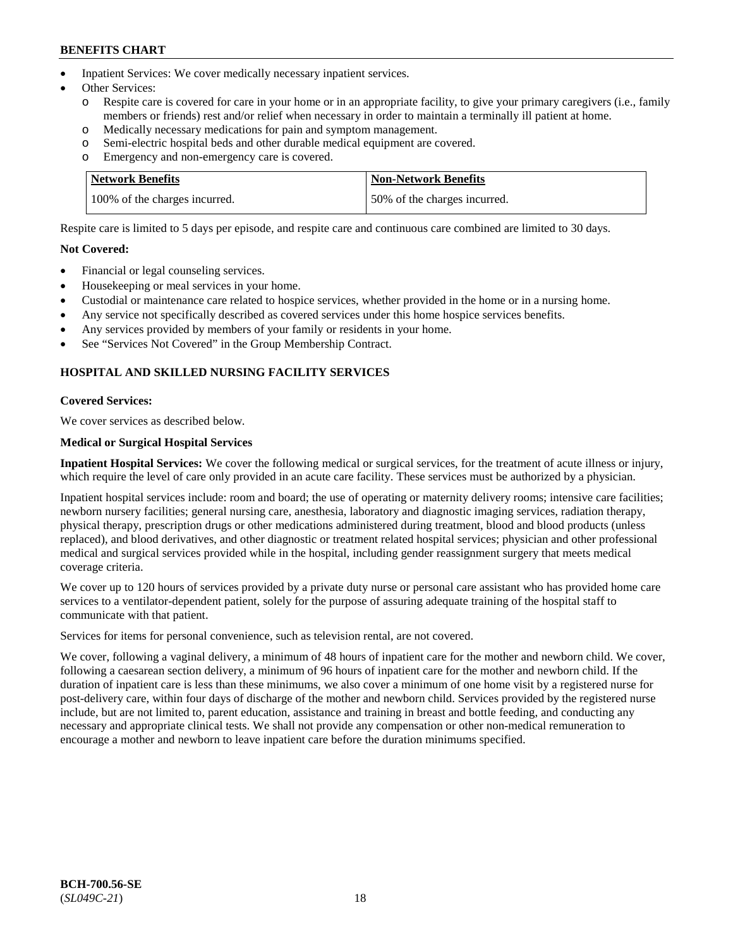- Inpatient Services: We cover medically necessary inpatient services.
- Other Services:
	- o Respite care is covered for care in your home or in an appropriate facility, to give your primary caregivers (i.e., family members or friends) rest and/or relief when necessary in order to maintain a terminally ill patient at home.
	- o Medically necessary medications for pain and symptom management.
	- o Semi-electric hospital beds and other durable medical equipment are covered.
	- Emergency and non-emergency care is covered.

| Network Benefits              | Non-Network Benefits         |
|-------------------------------|------------------------------|
| 100% of the charges incurred. | 50% of the charges incurred. |

Respite care is limited to 5 days per episode, and respite care and continuous care combined are limited to 30 days.

### **Not Covered:**

- Financial or legal counseling services.
- Housekeeping or meal services in your home.
- Custodial or maintenance care related to hospice services, whether provided in the home or in a nursing home.
- Any service not specifically described as covered services under this home hospice services benefits.
- Any services provided by members of your family or residents in your home.
- See "Services Not Covered" in the Group Membership Contract.

## **HOSPITAL AND SKILLED NURSING FACILITY SERVICES**

#### **Covered Services:**

We cover services as described below.

#### **Medical or Surgical Hospital Services**

**Inpatient Hospital Services:** We cover the following medical or surgical services, for the treatment of acute illness or injury, which require the level of care only provided in an acute care facility. These services must be authorized by a physician.

Inpatient hospital services include: room and board; the use of operating or maternity delivery rooms; intensive care facilities; newborn nursery facilities; general nursing care, anesthesia, laboratory and diagnostic imaging services, radiation therapy, physical therapy, prescription drugs or other medications administered during treatment, blood and blood products (unless replaced), and blood derivatives, and other diagnostic or treatment related hospital services; physician and other professional medical and surgical services provided while in the hospital, including gender reassignment surgery that meets medical coverage criteria.

We cover up to 120 hours of services provided by a private duty nurse or personal care assistant who has provided home care services to a ventilator-dependent patient, solely for the purpose of assuring adequate training of the hospital staff to communicate with that patient.

Services for items for personal convenience, such as television rental, are not covered.

We cover, following a vaginal delivery, a minimum of 48 hours of inpatient care for the mother and newborn child. We cover, following a caesarean section delivery, a minimum of 96 hours of inpatient care for the mother and newborn child. If the duration of inpatient care is less than these minimums, we also cover a minimum of one home visit by a registered nurse for post-delivery care, within four days of discharge of the mother and newborn child. Services provided by the registered nurse include, but are not limited to, parent education, assistance and training in breast and bottle feeding, and conducting any necessary and appropriate clinical tests. We shall not provide any compensation or other non-medical remuneration to encourage a mother and newborn to leave inpatient care before the duration minimums specified.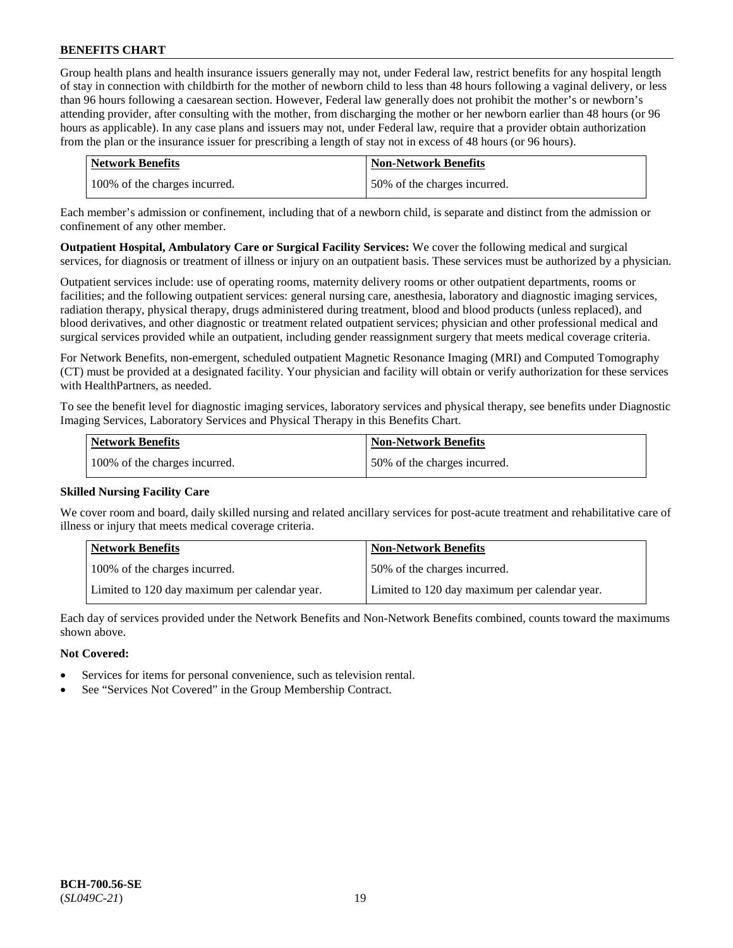Group health plans and health insurance issuers generally may not, under Federal law, restrict benefits for any hospital length of stay in connection with childbirth for the mother of newborn child to less than 48 hours following a vaginal delivery, or less than 96 hours following a caesarean section. However, Federal law generally does not prohibit the mother's or newborn's attending provider, after consulting with the mother, from discharging the mother or her newborn earlier than 48 hours (or 96 hours as applicable). In any case plans and issuers may not, under Federal law, require that a provider obtain authorization from the plan or the insurance issuer for prescribing a length of stay not in excess of 48 hours (or 96 hours).

| Network Benefits              | <b>Non-Network Benefits</b>  |
|-------------------------------|------------------------------|
| 100% of the charges incurred. | 50% of the charges incurred. |

Each member's admission or confinement, including that of a newborn child, is separate and distinct from the admission or confinement of any other member.

**Outpatient Hospital, Ambulatory Care or Surgical Facility Services:** We cover the following medical and surgical services, for diagnosis or treatment of illness or injury on an outpatient basis. These services must be authorized by a physician.

Outpatient services include: use of operating rooms, maternity delivery rooms or other outpatient departments, rooms or facilities; and the following outpatient services: general nursing care, anesthesia, laboratory and diagnostic imaging services, radiation therapy, physical therapy, drugs administered during treatment, blood and blood products (unless replaced), and blood derivatives, and other diagnostic or treatment related outpatient services; physician and other professional medical and surgical services provided while an outpatient, including gender reassignment surgery that meets medical coverage criteria.

For Network Benefits, non-emergent, scheduled outpatient Magnetic Resonance Imaging (MRI) and Computed Tomography (CT) must be provided at a designated facility. Your physician and facility will obtain or verify authorization for these services with HealthPartners, as needed.

To see the benefit level for diagnostic imaging services, laboratory services and physical therapy, see benefits under Diagnostic Imaging Services, Laboratory Services and Physical Therapy in this Benefits Chart.

| Network Benefits              | <b>Non-Network Benefits</b>  |
|-------------------------------|------------------------------|
| 100% of the charges incurred. | 50% of the charges incurred. |

### **Skilled Nursing Facility Care**

We cover room and board, daily skilled nursing and related ancillary services for post-acute treatment and rehabilitative care of illness or injury that meets medical coverage criteria.

| <b>Network Benefits</b>                       | <b>Non-Network Benefits</b>                   |
|-----------------------------------------------|-----------------------------------------------|
| 100% of the charges incurred.                 | 50% of the charges incurred.                  |
| Limited to 120 day maximum per calendar year. | Limited to 120 day maximum per calendar year. |

Each day of services provided under the Network Benefits and Non-Network Benefits combined, counts toward the maximums shown above.

### **Not Covered:**

- Services for items for personal convenience, such as television rental.
- See "Services Not Covered" in the Group Membership Contract.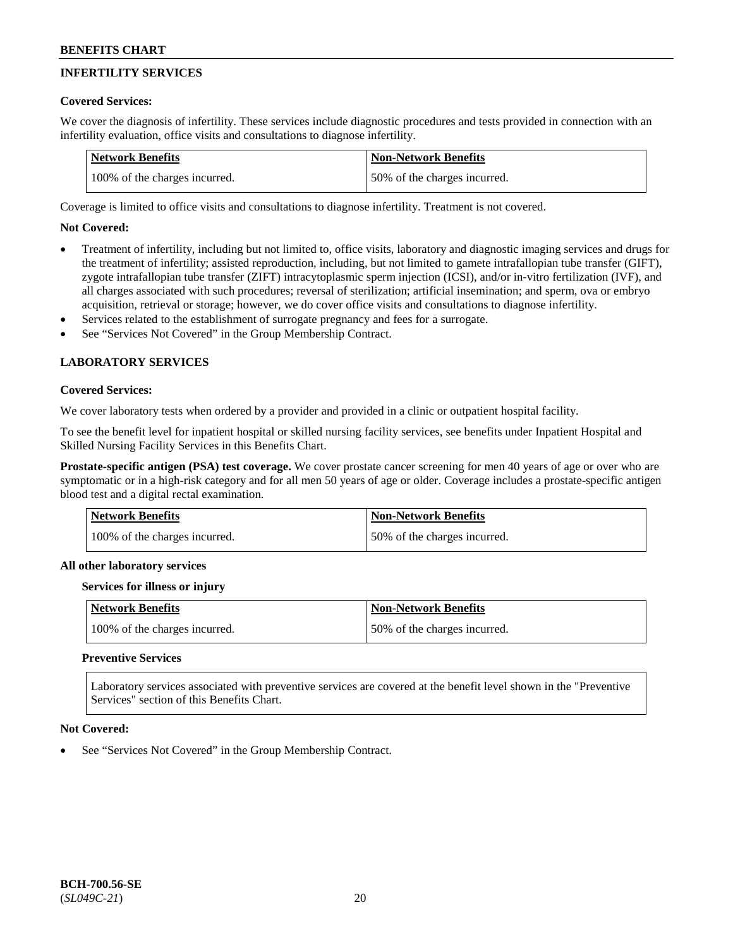## **INFERTILITY SERVICES**

### **Covered Services:**

We cover the diagnosis of infertility. These services include diagnostic procedures and tests provided in connection with an infertility evaluation, office visits and consultations to diagnose infertility.

| Network Benefits              | <b>Non-Network Benefits</b>  |
|-------------------------------|------------------------------|
| 100% of the charges incurred. | 50% of the charges incurred. |

Coverage is limited to office visits and consultations to diagnose infertility. Treatment is not covered.

## **Not Covered:**

- Treatment of infertility, including but not limited to, office visits, laboratory and diagnostic imaging services and drugs for the treatment of infertility; assisted reproduction, including, but not limited to gamete intrafallopian tube transfer (GIFT), zygote intrafallopian tube transfer (ZIFT) intracytoplasmic sperm injection (ICSI), and/or in-vitro fertilization (IVF), and all charges associated with such procedures; reversal of sterilization; artificial insemination; and sperm, ova or embryo acquisition, retrieval or storage; however, we do cover office visits and consultations to diagnose infertility.
- Services related to the establishment of surrogate pregnancy and fees for a surrogate.
- See "Services Not Covered" in the Group Membership Contract.

## **LABORATORY SERVICES**

### **Covered Services:**

We cover laboratory tests when ordered by a provider and provided in a clinic or outpatient hospital facility.

To see the benefit level for inpatient hospital or skilled nursing facility services, see benefits under Inpatient Hospital and Skilled Nursing Facility Services in this Benefits Chart.

**Prostate-specific antigen (PSA) test coverage.** We cover prostate cancer screening for men 40 years of age or over who are symptomatic or in a high-risk category and for all men 50 years of age or older. Coverage includes a prostate-specific antigen blood test and a digital rectal examination.

| <b>Network Benefits</b>       | <b>Non-Network Benefits</b>  |
|-------------------------------|------------------------------|
| 100% of the charges incurred. | 50% of the charges incurred. |

#### **All other laboratory services**

#### **Services for illness or injury**

| Network Benefits              | <b>Non-Network Benefits</b>  |
|-------------------------------|------------------------------|
| 100% of the charges incurred. | 50% of the charges incurred. |

### **Preventive Services**

Laboratory services associated with preventive services are covered at the benefit level shown in the "Preventive Services" section of this Benefits Chart.

#### **Not Covered:**

See "Services Not Covered" in the Group Membership Contract.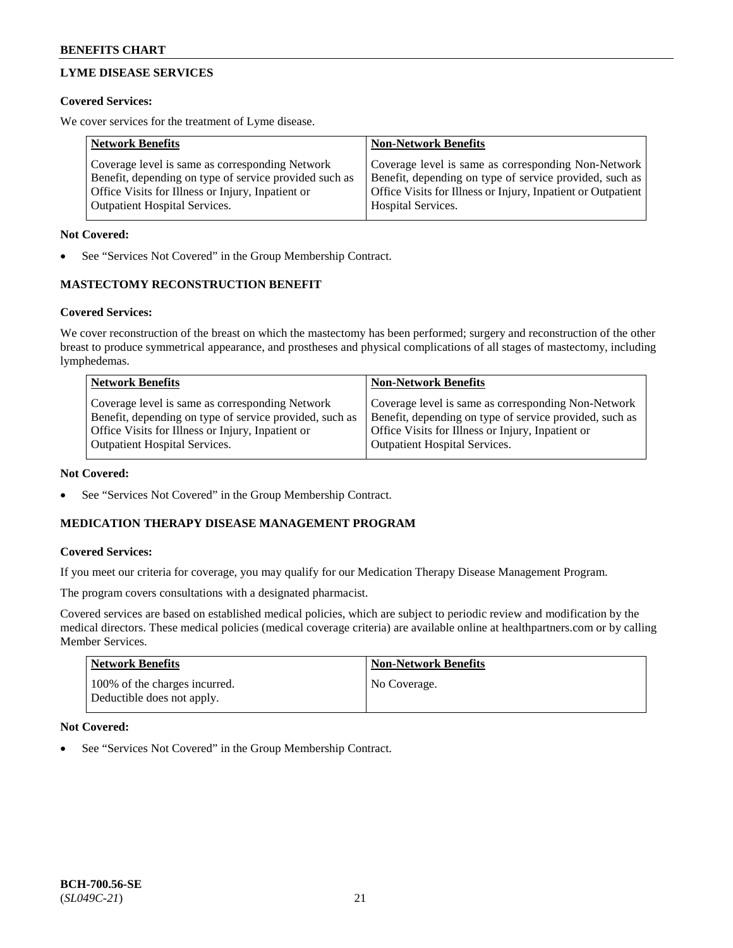## **LYME DISEASE SERVICES**

### **Covered Services:**

We cover services for the treatment of Lyme disease.

| <b>Network Benefits</b>                                | <b>Non-Network Benefits</b>                                  |
|--------------------------------------------------------|--------------------------------------------------------------|
| Coverage level is same as corresponding Network        | Coverage level is same as corresponding Non-Network          |
| Benefit, depending on type of service provided such as | Benefit, depending on type of service provided, such as      |
| Office Visits for Illness or Injury, Inpatient or      | Office Visits for Illness or Injury, Inpatient or Outpatient |
| <b>Outpatient Hospital Services.</b>                   | Hospital Services.                                           |

### **Not Covered:**

See "Services Not Covered" in the Group Membership Contract.

## **MASTECTOMY RECONSTRUCTION BENEFIT**

## **Covered Services:**

We cover reconstruction of the breast on which the mastectomy has been performed; surgery and reconstruction of the other breast to produce symmetrical appearance, and prostheses and physical complications of all stages of mastectomy, including lymphedemas.

| <b>Network Benefits</b>                                 | <b>Non-Network Benefits</b>                             |
|---------------------------------------------------------|---------------------------------------------------------|
| Coverage level is same as corresponding Network         | Coverage level is same as corresponding Non-Network     |
| Benefit, depending on type of service provided, such as | Benefit, depending on type of service provided, such as |
| Office Visits for Illness or Injury, Inpatient or       | Office Visits for Illness or Injury, Inpatient or       |
| <b>Outpatient Hospital Services.</b>                    | Outpatient Hospital Services.                           |

### **Not Covered:**

• See "Services Not Covered" in the Group Membership Contract.

## **MEDICATION THERAPY DISEASE MANAGEMENT PROGRAM**

### **Covered Services:**

If you meet our criteria for coverage, you may qualify for our Medication Therapy Disease Management Program.

The program covers consultations with a designated pharmacist.

Covered services are based on established medical policies, which are subject to periodic review and modification by the medical directors. These medical policies (medical coverage criteria) are available online at [healthpartners.com](https://www.healthpartners.com/hp/index.html) or by calling Member Services.

| Network Benefits                                            | <b>Non-Network Benefits</b> |
|-------------------------------------------------------------|-----------------------------|
| 100% of the charges incurred.<br>Deductible does not apply. | No Coverage.                |

### **Not Covered:**

See "Services Not Covered" in the Group Membership Contract.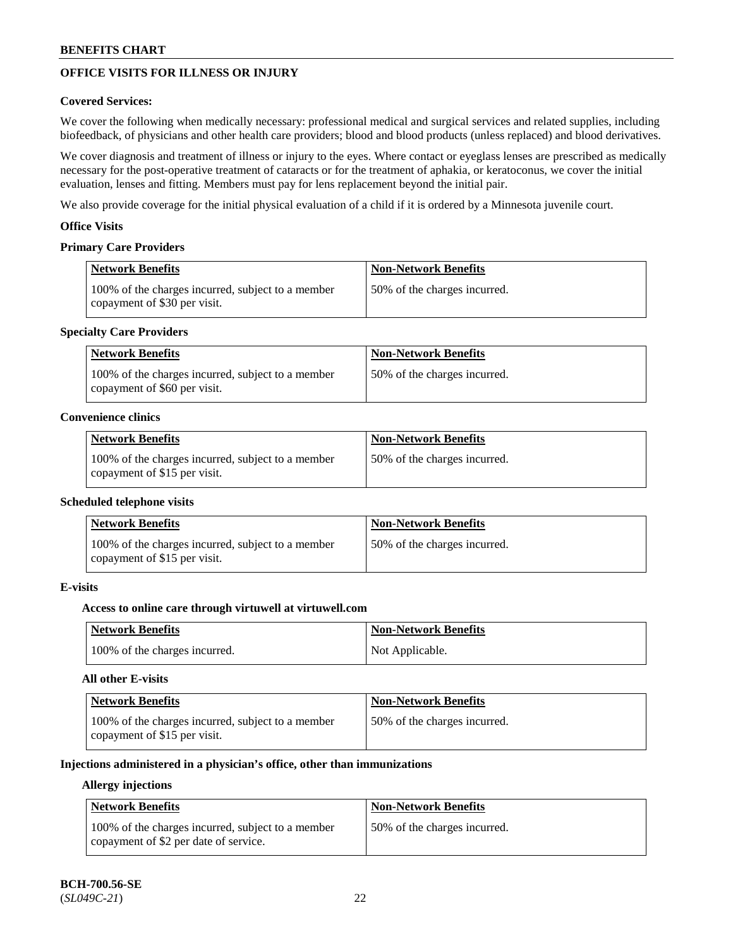## **OFFICE VISITS FOR ILLNESS OR INJURY**

### **Covered Services:**

We cover the following when medically necessary: professional medical and surgical services and related supplies, including biofeedback, of physicians and other health care providers; blood and blood products (unless replaced) and blood derivatives.

We cover diagnosis and treatment of illness or injury to the eyes. Where contact or eyeglass lenses are prescribed as medically necessary for the post-operative treatment of cataracts or for the treatment of aphakia, or keratoconus, we cover the initial evaluation, lenses and fitting. Members must pay for lens replacement beyond the initial pair.

We also provide coverage for the initial physical evaluation of a child if it is ordered by a Minnesota juvenile court.

### **Office Visits**

## **Primary Care Providers**

| <b>Network Benefits</b>                                                           | <b>Non-Network Benefits</b>  |
|-----------------------------------------------------------------------------------|------------------------------|
| 100% of the charges incurred, subject to a member<br>copayment of \$30 per visit. | 50% of the charges incurred. |

### **Specialty Care Providers**

| <b>Network Benefits</b>                                                           | <b>Non-Network Benefits</b>  |
|-----------------------------------------------------------------------------------|------------------------------|
| 100% of the charges incurred, subject to a member<br>copayment of \$60 per visit. | 50% of the charges incurred. |

#### **Convenience clinics**

| <b>Network Benefits</b>                                                           | <b>Non-Network Benefits</b>   |
|-----------------------------------------------------------------------------------|-------------------------------|
| 100% of the charges incurred, subject to a member<br>copayment of \$15 per visit. | 150% of the charges incurred. |

#### **Scheduled telephone visits**

| <b>Network Benefits</b>                                                           | <b>Non-Network Benefits</b>  |
|-----------------------------------------------------------------------------------|------------------------------|
| 100% of the charges incurred, subject to a member<br>copayment of \$15 per visit. | 50% of the charges incurred. |

## **E-visits**

### **Access to online care through virtuwell at [virtuwell.com](https://www.virtuwell.com/)**

| <b>Network Benefits</b>       | <b>Non-Network Benefits</b> |
|-------------------------------|-----------------------------|
| 100% of the charges incurred. | Not Applicable.             |

#### **All other E-visits**

| Network Benefits                                                                  | <b>Non-Network Benefits</b>  |
|-----------------------------------------------------------------------------------|------------------------------|
| 100% of the charges incurred, subject to a member<br>copayment of \$15 per visit. | 50% of the charges incurred. |

## **Injections administered in a physician's office, other than immunizations**

#### **Allergy injections**

| <b>Network Benefits</b>                                                                    | <b>Non-Network Benefits</b>  |
|--------------------------------------------------------------------------------------------|------------------------------|
| 100% of the charges incurred, subject to a member<br>copayment of \$2 per date of service. | 50% of the charges incurred. |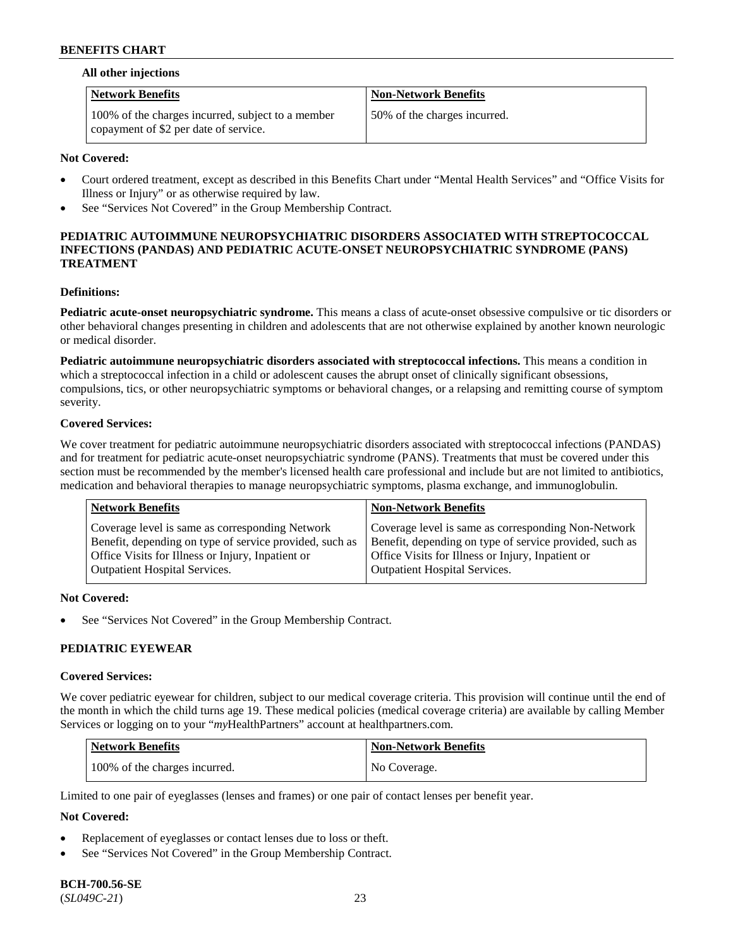#### **All other injections**

| <b>Network Benefits</b>                                                                    | <b>Non-Network Benefits</b>  |
|--------------------------------------------------------------------------------------------|------------------------------|
| 100% of the charges incurred, subject to a member<br>copayment of \$2 per date of service. | 50% of the charges incurred. |

### **Not Covered:**

- Court ordered treatment, except as described in this Benefits Chart under "Mental Health Services" and "Office Visits for Illness or Injury" or as otherwise required by law.
- See "Services Not Covered" in the Group Membership Contract.

### **PEDIATRIC AUTOIMMUNE NEUROPSYCHIATRIC DISORDERS ASSOCIATED WITH STREPTOCOCCAL INFECTIONS (PANDAS) AND PEDIATRIC ACUTE-ONSET NEUROPSYCHIATRIC SYNDROME (PANS) TREATMENT**

#### **Definitions:**

**Pediatric acute-onset neuropsychiatric syndrome.** This means a class of acute-onset obsessive compulsive or tic disorders or other behavioral changes presenting in children and adolescents that are not otherwise explained by another known neurologic or medical disorder.

**Pediatric autoimmune neuropsychiatric disorders associated with streptococcal infections.** This means a condition in which a streptococcal infection in a child or adolescent causes the abrupt onset of clinically significant obsessions, compulsions, tics, or other neuropsychiatric symptoms or behavioral changes, or a relapsing and remitting course of symptom severity.

#### **Covered Services:**

We cover treatment for pediatric autoimmune neuropsychiatric disorders associated with streptococcal infections (PANDAS) and for treatment for pediatric acute-onset neuropsychiatric syndrome (PANS). Treatments that must be covered under this section must be recommended by the member's licensed health care professional and include but are not limited to antibiotics, medication and behavioral therapies to manage neuropsychiatric symptoms, plasma exchange, and immunoglobulin.

| <b>Network Benefits</b>                                 | <b>Non-Network Benefits</b>                             |
|---------------------------------------------------------|---------------------------------------------------------|
| Coverage level is same as corresponding Network         | Coverage level is same as corresponding Non-Network     |
| Benefit, depending on type of service provided, such as | Benefit, depending on type of service provided, such as |
| Office Visits for Illness or Injury, Inpatient or       | Office Visits for Illness or Injury, Inpatient or       |
| <b>Outpatient Hospital Services.</b>                    | Outpatient Hospital Services.                           |

#### **Not Covered:**

See "Services Not Covered" in the Group Membership Contract.

### **PEDIATRIC EYEWEAR**

#### **Covered Services:**

We cover pediatric eyewear for children, subject to our medical coverage criteria. This provision will continue until the end of the month in which the child turns age 19. These medical policies (medical coverage criteria) are available by calling Member Services or logging on to your "*my*HealthPartners" account at [healthpartners.com.](https://www.healthpartners.com/hp/index.html)

| Network Benefits              | <b>Non-Network Benefits</b> |
|-------------------------------|-----------------------------|
| 100% of the charges incurred. | No Coverage.                |

Limited to one pair of eyeglasses (lenses and frames) or one pair of contact lenses per benefit year.

### **Not Covered:**

- Replacement of eyeglasses or contact lenses due to loss or theft.
- See "Services Not Covered" in the Group Membership Contract.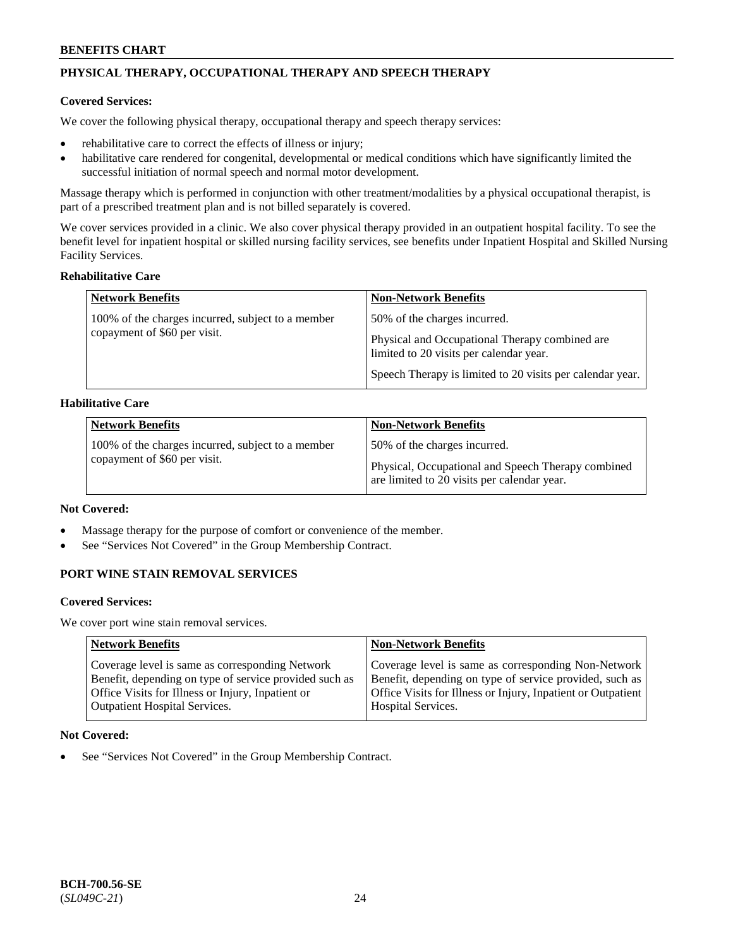## **PHYSICAL THERAPY, OCCUPATIONAL THERAPY AND SPEECH THERAPY**

### **Covered Services:**

We cover the following physical therapy, occupational therapy and speech therapy services:

- rehabilitative care to correct the effects of illness or injury;
- habilitative care rendered for congenital, developmental or medical conditions which have significantly limited the successful initiation of normal speech and normal motor development.

Massage therapy which is performed in conjunction with other treatment/modalities by a physical occupational therapist, is part of a prescribed treatment plan and is not billed separately is covered.

We cover services provided in a clinic. We also cover physical therapy provided in an outpatient hospital facility. To see the benefit level for inpatient hospital or skilled nursing facility services, see benefits under Inpatient Hospital and Skilled Nursing Facility Services.

### **Rehabilitative Care**

| <b>Network Benefits</b>                                                           | <b>Non-Network Benefits</b>                                                                                                                                                            |
|-----------------------------------------------------------------------------------|----------------------------------------------------------------------------------------------------------------------------------------------------------------------------------------|
| 100% of the charges incurred, subject to a member<br>copayment of \$60 per visit. | 50% of the charges incurred.<br>Physical and Occupational Therapy combined are<br>limited to 20 visits per calendar year.<br>Speech Therapy is limited to 20 visits per calendar year. |

### **Habilitative Care**

| <b>Network Benefits</b>                                                           | <b>Non-Network Benefits</b>                                                                                                       |
|-----------------------------------------------------------------------------------|-----------------------------------------------------------------------------------------------------------------------------------|
| 100% of the charges incurred, subject to a member<br>copayment of \$60 per visit. | 50% of the charges incurred.<br>Physical, Occupational and Speech Therapy combined<br>are limited to 20 visits per calendar year. |

### **Not Covered:**

- Massage therapy for the purpose of comfort or convenience of the member.
- See "Services Not Covered" in the Group Membership Contract.

## **PORT WINE STAIN REMOVAL SERVICES**

#### **Covered Services:**

We cover port wine stain removal services.

| <b>Network Benefits</b>                                | <b>Non-Network Benefits</b>                                  |
|--------------------------------------------------------|--------------------------------------------------------------|
| Coverage level is same as corresponding Network        | Coverage level is same as corresponding Non-Network          |
| Benefit, depending on type of service provided such as | Benefit, depending on type of service provided, such as      |
| Office Visits for Illness or Injury, Inpatient or      | Office Visits for Illness or Injury, Inpatient or Outpatient |
| <b>Outpatient Hospital Services.</b>                   | Hospital Services.                                           |

### **Not Covered:**

See "Services Not Covered" in the Group Membership Contract.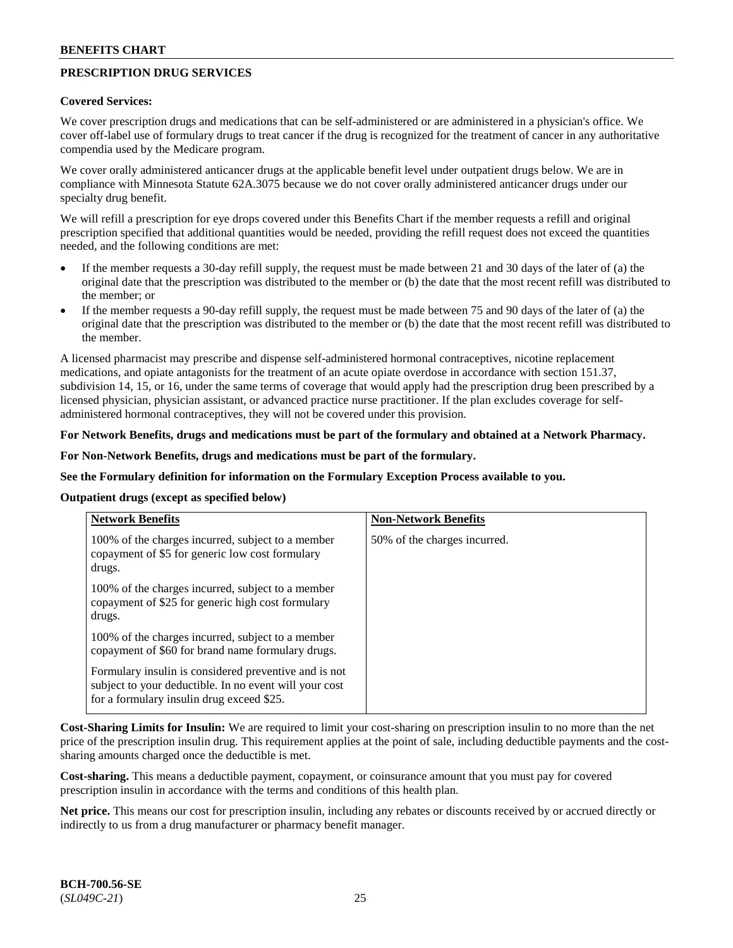## **PRESCRIPTION DRUG SERVICES**

### **Covered Services:**

We cover prescription drugs and medications that can be self-administered or are administered in a physician's office. We cover off-label use of formulary drugs to treat cancer if the drug is recognized for the treatment of cancer in any authoritative compendia used by the Medicare program.

We cover orally administered anticancer drugs at the applicable benefit level under outpatient drugs below. We are in compliance with Minnesota Statute 62A.3075 because we do not cover orally administered anticancer drugs under our specialty drug benefit.

We will refill a prescription for eye drops covered under this Benefits Chart if the member requests a refill and original prescription specified that additional quantities would be needed, providing the refill request does not exceed the quantities needed, and the following conditions are met:

- If the member requests a 30-day refill supply, the request must be made between 21 and 30 days of the later of (a) the original date that the prescription was distributed to the member or (b) the date that the most recent refill was distributed to the member; or
- If the member requests a 90-day refill supply, the request must be made between 75 and 90 days of the later of (a) the original date that the prescription was distributed to the member or (b) the date that the most recent refill was distributed to the member.

A licensed pharmacist may prescribe and dispense self-administered hormonal contraceptives, nicotine replacement medications, and opiate antagonists for the treatment of an acute opiate overdose in accordance with section 151.37, subdivision 14, 15, or 16, under the same terms of coverage that would apply had the prescription drug been prescribed by a licensed physician, physician assistant, or advanced practice nurse practitioner. If the plan excludes coverage for selfadministered hormonal contraceptives, they will not be covered under this provision.

### **For Network Benefits, drugs and medications must be part of the formulary and obtained at a Network Pharmacy.**

#### **For Non-Network Benefits, drugs and medications must be part of the formulary.**

### **See the Formulary definition for information on the Formulary Exception Process available to you.**

#### **Outpatient drugs (except as specified below)**

| <b>Network Benefits</b>                                                                                                                                      | <b>Non-Network Benefits</b>  |
|--------------------------------------------------------------------------------------------------------------------------------------------------------------|------------------------------|
| 100% of the charges incurred, subject to a member<br>copayment of \$5 for generic low cost formulary<br>drugs.                                               | 50% of the charges incurred. |
| 100% of the charges incurred, subject to a member<br>copayment of \$25 for generic high cost formulary<br>drugs.                                             |                              |
| 100% of the charges incurred, subject to a member<br>copayment of \$60 for brand name formulary drugs.                                                       |                              |
| Formulary insulin is considered preventive and is not<br>subject to your deductible. In no event will your cost<br>for a formulary insulin drug exceed \$25. |                              |

**Cost-Sharing Limits for Insulin:** We are required to limit your cost-sharing on prescription insulin to no more than the net price of the prescription insulin drug. This requirement applies at the point of sale, including deductible payments and the costsharing amounts charged once the deductible is met.

**Cost-sharing.** This means a deductible payment, copayment, or coinsurance amount that you must pay for covered prescription insulin in accordance with the terms and conditions of this health plan.

**Net price.** This means our cost for prescription insulin, including any rebates or discounts received by or accrued directly or indirectly to us from a drug manufacturer or pharmacy benefit manager.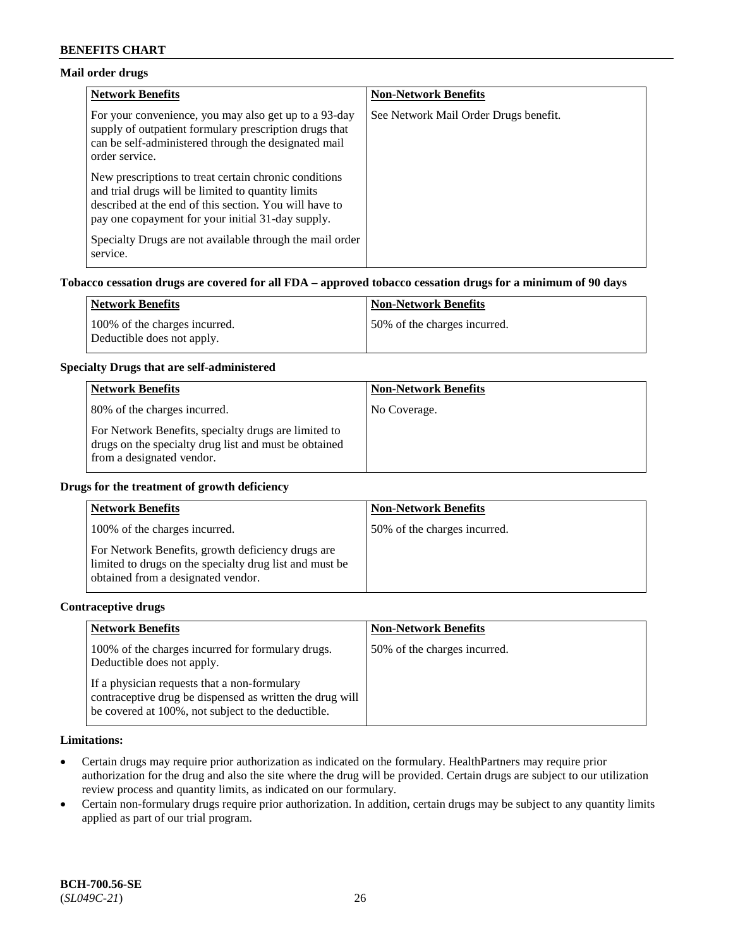### **Mail order drugs**

| <b>Network Benefits</b>                                                                                                                                                                                                    | <b>Non-Network Benefits</b>           |
|----------------------------------------------------------------------------------------------------------------------------------------------------------------------------------------------------------------------------|---------------------------------------|
| For your convenience, you may also get up to a 93-day<br>supply of outpatient formulary prescription drugs that<br>can be self-administered through the designated mail<br>order service.                                  | See Network Mail Order Drugs benefit. |
| New prescriptions to treat certain chronic conditions<br>and trial drugs will be limited to quantity limits<br>described at the end of this section. You will have to<br>pay one copayment for your initial 31-day supply. |                                       |
| Specialty Drugs are not available through the mail order<br>service.                                                                                                                                                       |                                       |

## **Tobacco cessation drugs are covered for all FDA – approved tobacco cessation drugs for a minimum of 90 days**

| <b>Network Benefits</b>                                     | Non-Network Benefits         |
|-------------------------------------------------------------|------------------------------|
| 100% of the charges incurred.<br>Deductible does not apply. | 50% of the charges incurred. |

## **Specialty Drugs that are self-administered**

| <b>Network Benefits</b>                                                                                                                    | <b>Non-Network Benefits</b> |
|--------------------------------------------------------------------------------------------------------------------------------------------|-----------------------------|
| 80% of the charges incurred.                                                                                                               | No Coverage.                |
| For Network Benefits, specialty drugs are limited to<br>drugs on the specialty drug list and must be obtained<br>from a designated vendor. |                             |

### **Drugs for the treatment of growth deficiency**

| <b>Network Benefits</b>                                                                                                                            | <b>Non-Network Benefits</b>  |
|----------------------------------------------------------------------------------------------------------------------------------------------------|------------------------------|
| 100% of the charges incurred.                                                                                                                      | 50% of the charges incurred. |
| For Network Benefits, growth deficiency drugs are<br>limited to drugs on the specialty drug list and must be<br>obtained from a designated vendor. |                              |

### **Contraceptive drugs**

| <b>Network Benefits</b>                                                                                                                                        | <b>Non-Network Benefits</b>  |
|----------------------------------------------------------------------------------------------------------------------------------------------------------------|------------------------------|
| 100% of the charges incurred for formulary drugs.<br>Deductible does not apply.                                                                                | 50% of the charges incurred. |
| If a physician requests that a non-formulary<br>contraceptive drug be dispensed as written the drug will<br>be covered at 100%, not subject to the deductible. |                              |

### **Limitations:**

- Certain drugs may require prior authorization as indicated on the formulary. HealthPartners may require prior authorization for the drug and also the site where the drug will be provided. Certain drugs are subject to our utilization review process and quantity limits, as indicated on our formulary.
- Certain non-formulary drugs require prior authorization. In addition, certain drugs may be subject to any quantity limits applied as part of our trial program.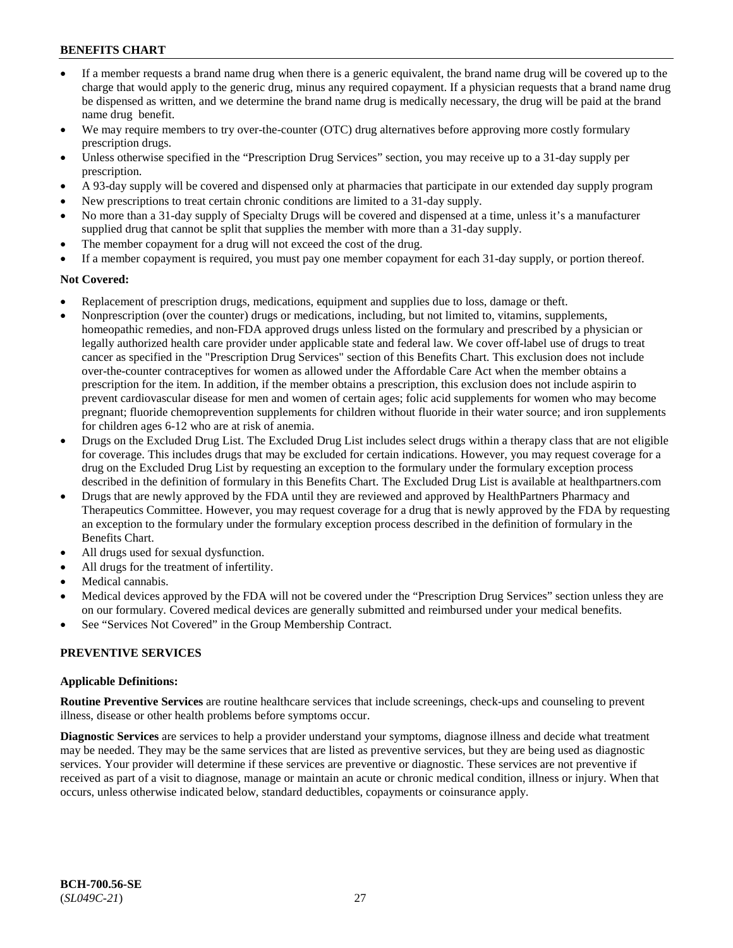- If a member requests a brand name drug when there is a generic equivalent, the brand name drug will be covered up to the charge that would apply to the generic drug, minus any required copayment. If a physician requests that a brand name drug be dispensed as written, and we determine the brand name drug is medically necessary, the drug will be paid at the brand name drug benefit.
- We may require members to try over-the-counter (OTC) drug alternatives before approving more costly formulary prescription drugs.
- Unless otherwise specified in the "Prescription Drug Services" section, you may receive up to a 31-day supply per prescription.
- A 93-day supply will be covered and dispensed only at pharmacies that participate in our extended day supply program
- New prescriptions to treat certain chronic conditions are limited to a 31-day supply.
- No more than a 31-day supply of Specialty Drugs will be covered and dispensed at a time, unless it's a manufacturer supplied drug that cannot be split that supplies the member with more than a 31-day supply.
- The member copayment for a drug will not exceed the cost of the drug.
- If a member copayment is required, you must pay one member copayment for each 31-day supply, or portion thereof.

#### **Not Covered:**

- Replacement of prescription drugs, medications, equipment and supplies due to loss, damage or theft.
- Nonprescription (over the counter) drugs or medications, including, but not limited to, vitamins, supplements, homeopathic remedies, and non-FDA approved drugs unless listed on the formulary and prescribed by a physician or legally authorized health care provider under applicable state and federal law. We cover off-label use of drugs to treat cancer as specified in the "Prescription Drug Services" section of this Benefits Chart. This exclusion does not include over-the-counter contraceptives for women as allowed under the Affordable Care Act when the member obtains a prescription for the item. In addition, if the member obtains a prescription, this exclusion does not include aspirin to prevent cardiovascular disease for men and women of certain ages; folic acid supplements for women who may become pregnant; fluoride chemoprevention supplements for children without fluoride in their water source; and iron supplements for children ages 6-12 who are at risk of anemia.
- Drugs on the Excluded Drug List. The Excluded Drug List includes select drugs within a therapy class that are not eligible for coverage. This includes drugs that may be excluded for certain indications. However, you may request coverage for a drug on the Excluded Drug List by requesting an exception to the formulary under the formulary exception process described in the definition of formulary in this Benefits Chart. The Excluded Drug List is available at [healthpartners.com](http://www.healthpartners.com/)
- Drugs that are newly approved by the FDA until they are reviewed and approved by HealthPartners Pharmacy and Therapeutics Committee. However, you may request coverage for a drug that is newly approved by the FDA by requesting an exception to the formulary under the formulary exception process described in the definition of formulary in the Benefits Chart.
- All drugs used for sexual dysfunction.
- All drugs for the treatment of infertility.
- Medical cannabis.
- Medical devices approved by the FDA will not be covered under the "Prescription Drug Services" section unless they are on our formulary. Covered medical devices are generally submitted and reimbursed under your medical benefits.
- See "Services Not Covered" in the Group Membership Contract.

#### **PREVENTIVE SERVICES**

#### **Applicable Definitions:**

**Routine Preventive Services** are routine healthcare services that include screenings, check-ups and counseling to prevent illness, disease or other health problems before symptoms occur.

**Diagnostic Services** are services to help a provider understand your symptoms, diagnose illness and decide what treatment may be needed. They may be the same services that are listed as preventive services, but they are being used as diagnostic services. Your provider will determine if these services are preventive or diagnostic. These services are not preventive if received as part of a visit to diagnose, manage or maintain an acute or chronic medical condition, illness or injury. When that occurs, unless otherwise indicated below, standard deductibles, copayments or coinsurance apply.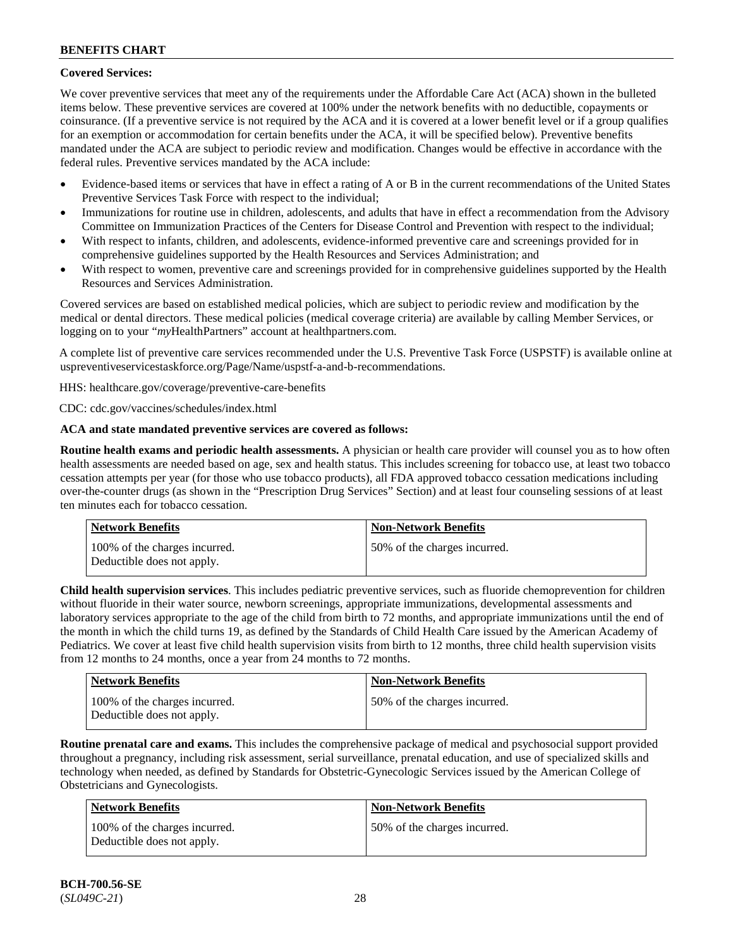### **Covered Services:**

We cover preventive services that meet any of the requirements under the Affordable Care Act (ACA) shown in the bulleted items below. These preventive services are covered at 100% under the network benefits with no deductible, copayments or coinsurance. (If a preventive service is not required by the ACA and it is covered at a lower benefit level or if a group qualifies for an exemption or accommodation for certain benefits under the ACA, it will be specified below). Preventive benefits mandated under the ACA are subject to periodic review and modification. Changes would be effective in accordance with the federal rules. Preventive services mandated by the ACA include:

- Evidence-based items or services that have in effect a rating of A or B in the current recommendations of the United States Preventive Services Task Force with respect to the individual;
- Immunizations for routine use in children, adolescents, and adults that have in effect a recommendation from the Advisory Committee on Immunization Practices of the Centers for Disease Control and Prevention with respect to the individual;
- With respect to infants, children, and adolescents, evidence-informed preventive care and screenings provided for in comprehensive guidelines supported by the Health Resources and Services Administration; and
- With respect to women, preventive care and screenings provided for in comprehensive guidelines supported by the Health Resources and Services Administration.

Covered services are based on established medical policies, which are subject to periodic review and modification by the medical or dental directors. These medical policies (medical coverage criteria) are available by calling Member Services, or logging on to your "*my*HealthPartners" account at [healthpartners.com.](http://www.healthpartners.com/)

A complete list of preventive care services recommended under the U.S. Preventive Task Force (USPSTF) is available online at [uspreventiveservicestaskforce.org/Page/Name/uspstf-a-and-b-recommendations.](https://www.uspreventiveservicestaskforce.org/Page/Name/uspstf-a-and-b-recommendations-by-date/)

HHS: [healthcare.gov/coverage/preventive-care-benefits](https://www.healthcare.gov/coverage/preventive-care-benefits/)

CDC: [cdc.gov/vaccines/schedules/index.html](https://www.cdc.gov/vaccines/schedules/index.html)

### **ACA and state mandated preventive services are covered as follows:**

**Routine health exams and periodic health assessments.** A physician or health care provider will counsel you as to how often health assessments are needed based on age, sex and health status. This includes screening for tobacco use, at least two tobacco cessation attempts per year (for those who use tobacco products), all FDA approved tobacco cessation medications including over-the-counter drugs (as shown in the "Prescription Drug Services" Section) and at least four counseling sessions of at least ten minutes each for tobacco cessation.

| Network Benefits                                            | <b>Non-Network Benefits</b>  |
|-------------------------------------------------------------|------------------------------|
| 100% of the charges incurred.<br>Deductible does not apply. | 50% of the charges incurred. |

**Child health supervision services**. This includes pediatric preventive services, such as fluoride chemoprevention for children without fluoride in their water source, newborn screenings, appropriate immunizations, developmental assessments and laboratory services appropriate to the age of the child from birth to 72 months, and appropriate immunizations until the end of the month in which the child turns 19, as defined by the Standards of Child Health Care issued by the American Academy of Pediatrics. We cover at least five child health supervision visits from birth to 12 months, three child health supervision visits from 12 months to 24 months, once a year from 24 months to 72 months.

| <b>Network Benefits</b>                                     | <b>Non-Network Benefits</b>  |
|-------------------------------------------------------------|------------------------------|
| 100% of the charges incurred.<br>Deductible does not apply. | 50% of the charges incurred. |

**Routine prenatal care and exams.** This includes the comprehensive package of medical and psychosocial support provided throughout a pregnancy, including risk assessment, serial surveillance, prenatal education, and use of specialized skills and technology when needed, as defined by Standards for Obstetric-Gynecologic Services issued by the American College of Obstetricians and Gynecologists.

| Network Benefits                                            | <b>Non-Network Benefits</b>  |
|-------------------------------------------------------------|------------------------------|
| 100% of the charges incurred.<br>Deductible does not apply. | 50% of the charges incurred. |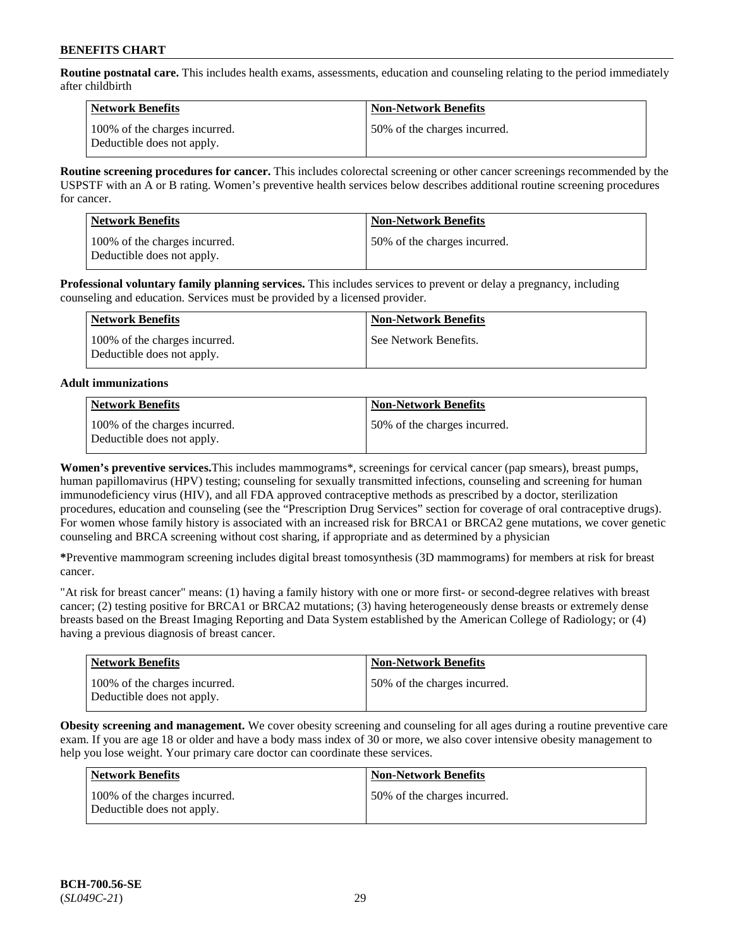**Routine postnatal care.** This includes health exams, assessments, education and counseling relating to the period immediately after childbirth

| Network Benefits                                            | <b>Non-Network Benefits</b>  |
|-------------------------------------------------------------|------------------------------|
| 100% of the charges incurred.<br>Deductible does not apply. | 50% of the charges incurred. |

**Routine screening procedures for cancer.** This includes colorectal screening or other cancer screenings recommended by the USPSTF with an A or B rating. Women's preventive health services below describes additional routine screening procedures for cancer.

| <b>Network Benefits</b>                                     | <b>Non-Network Benefits</b>  |
|-------------------------------------------------------------|------------------------------|
| 100% of the charges incurred.<br>Deductible does not apply. | 50% of the charges incurred. |

**Professional voluntary family planning services.** This includes services to prevent or delay a pregnancy, including counseling and education. Services must be provided by a licensed provider.

| Network Benefits                                            | <b>Non-Network Benefits</b> |
|-------------------------------------------------------------|-----------------------------|
| 100% of the charges incurred.<br>Deductible does not apply. | See Network Benefits.       |

### **Adult immunizations**

| <b>Network Benefits</b>                                     | <b>Non-Network Benefits</b>  |
|-------------------------------------------------------------|------------------------------|
| 100% of the charges incurred.<br>Deductible does not apply. | 50% of the charges incurred. |

**Women's preventive services.**This includes mammograms\*, screenings for cervical cancer (pap smears), breast pumps, human papillomavirus (HPV) testing; counseling for sexually transmitted infections, counseling and screening for human immunodeficiency virus (HIV), and all FDA approved contraceptive methods as prescribed by a doctor, sterilization procedures, education and counseling (see the "Prescription Drug Services" section for coverage of oral contraceptive drugs). For women whose family history is associated with an increased risk for BRCA1 or BRCA2 gene mutations, we cover genetic counseling and BRCA screening without cost sharing, if appropriate and as determined by a physician

**\***Preventive mammogram screening includes digital breast tomosynthesis (3D mammograms) for members at risk for breast cancer.

"At risk for breast cancer" means: (1) having a family history with one or more first- or second-degree relatives with breast cancer; (2) testing positive for BRCA1 or BRCA2 mutations; (3) having heterogeneously dense breasts or extremely dense breasts based on the Breast Imaging Reporting and Data System established by the American College of Radiology; or (4) having a previous diagnosis of breast cancer.

| <b>Network Benefits</b>                                     | <b>Non-Network Benefits</b>  |
|-------------------------------------------------------------|------------------------------|
| 100% of the charges incurred.<br>Deductible does not apply. | 50% of the charges incurred. |

**Obesity screening and management.** We cover obesity screening and counseling for all ages during a routine preventive care exam. If you are age 18 or older and have a body mass index of 30 or more, we also cover intensive obesity management to help you lose weight. Your primary care doctor can coordinate these services.

| Network Benefits                                            | <b>Non-Network Benefits</b>  |
|-------------------------------------------------------------|------------------------------|
| 100% of the charges incurred.<br>Deductible does not apply. | 50% of the charges incurred. |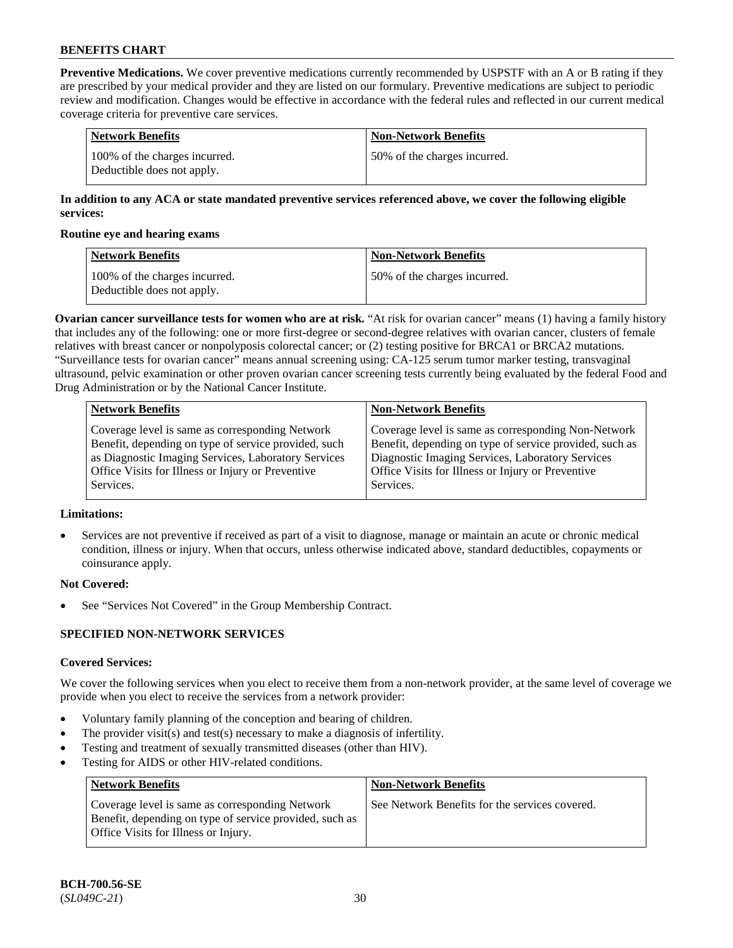**Preventive Medications.** We cover preventive medications currently recommended by USPSTF with an A or B rating if they are prescribed by your medical provider and they are listed on our formulary. Preventive medications are subject to periodic review and modification. Changes would be effective in accordance with the federal rules and reflected in our current medical coverage criteria for preventive care services.

| Network Benefits                                            | <b>Non-Network Benefits</b>  |
|-------------------------------------------------------------|------------------------------|
| 100% of the charges incurred.<br>Deductible does not apply. | 50% of the charges incurred. |

### **In addition to any ACA or state mandated preventive services referenced above, we cover the following eligible services:**

#### **Routine eye and hearing exams**

| <b>Network Benefits</b>                                     | <b>Non-Network Benefits</b>  |
|-------------------------------------------------------------|------------------------------|
| 100% of the charges incurred.<br>Deductible does not apply. | 50% of the charges incurred. |

**Ovarian cancer surveillance tests for women who are at risk.** "At risk for ovarian cancer" means (1) having a family history that includes any of the following: one or more first-degree or second-degree relatives with ovarian cancer, clusters of female relatives with breast cancer or nonpolyposis colorectal cancer; or (2) testing positive for BRCA1 or BRCA2 mutations. "Surveillance tests for ovarian cancer" means annual screening using: CA-125 serum tumor marker testing, transvaginal ultrasound, pelvic examination or other proven ovarian cancer screening tests currently being evaluated by the federal Food and Drug Administration or by the National Cancer Institute.

| <b>Network Benefits</b>                              | <b>Non-Network Benefits</b>                             |
|------------------------------------------------------|---------------------------------------------------------|
| Coverage level is same as corresponding Network      | Coverage level is same as corresponding Non-Network     |
| Benefit, depending on type of service provided, such | Benefit, depending on type of service provided, such as |
| as Diagnostic Imaging Services, Laboratory Services  | Diagnostic Imaging Services, Laboratory Services        |
| Office Visits for Illness or Injury or Preventive    | Office Visits for Illness or Injury or Preventive       |
| Services.                                            | Services.                                               |

### **Limitations:**

• Services are not preventive if received as part of a visit to diagnose, manage or maintain an acute or chronic medical condition, illness or injury. When that occurs, unless otherwise indicated above, standard deductibles, copayments or coinsurance apply.

### **Not Covered:**

See "Services Not Covered" in the Group Membership Contract.

### **SPECIFIED NON-NETWORK SERVICES**

### **Covered Services:**

We cover the following services when you elect to receive them from a non-network provider, at the same level of coverage we provide when you elect to receive the services from a network provider:

- Voluntary family planning of the conception and bearing of children.
- The provider visit(s) and test(s) necessary to make a diagnosis of infertility.
- Testing and treatment of sexually transmitted diseases (other than HIV).
- Testing for AIDS or other HIV-related conditions.

| <b>Network Benefits</b>                                                                                                                            | <b>Non-Network Benefits</b>                    |
|----------------------------------------------------------------------------------------------------------------------------------------------------|------------------------------------------------|
| Coverage level is same as corresponding Network<br>Benefit, depending on type of service provided, such as<br>Office Visits for Illness or Injury. | See Network Benefits for the services covered. |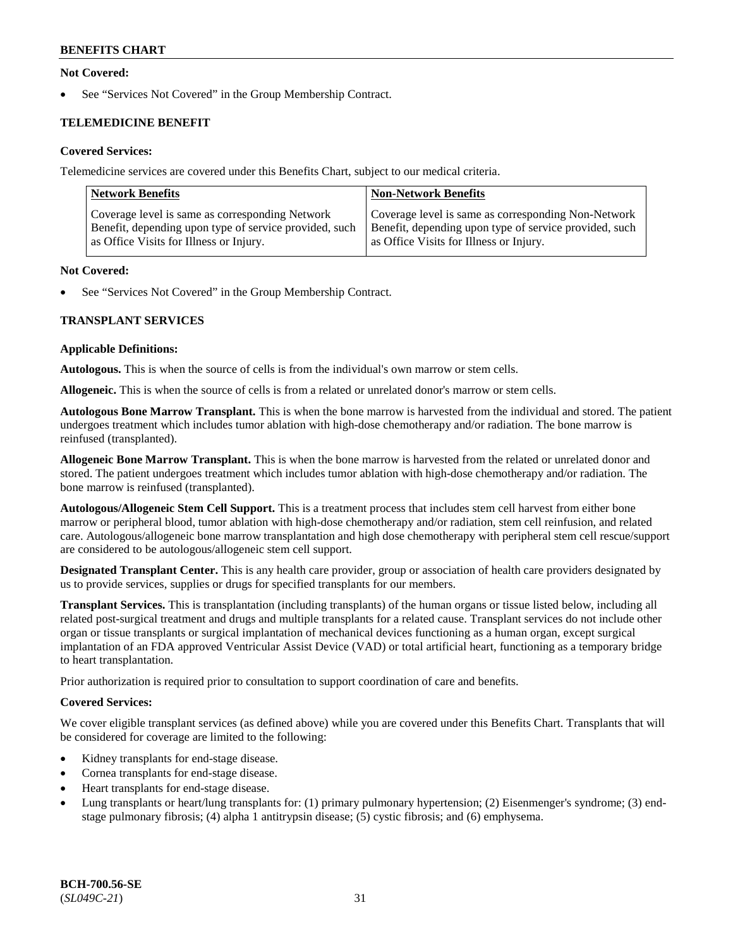### **Not Covered:**

See "Services Not Covered" in the Group Membership Contract.

## **TELEMEDICINE BENEFIT**

### **Covered Services:**

Telemedicine services are covered under this Benefits Chart, subject to our medical criteria.

| <b>Network Benefits</b>                                | <b>Non-Network Benefits</b>                            |
|--------------------------------------------------------|--------------------------------------------------------|
| Coverage level is same as corresponding Network        | Coverage level is same as corresponding Non-Network    |
| Benefit, depending upon type of service provided, such | Benefit, depending upon type of service provided, such |
| as Office Visits for Illness or Injury.                | as Office Visits for Illness or Injury.                |

#### **Not Covered:**

See "Services Not Covered" in the Group Membership Contract.

### **TRANSPLANT SERVICES**

#### **Applicable Definitions:**

**Autologous.** This is when the source of cells is from the individual's own marrow or stem cells.

**Allogeneic.** This is when the source of cells is from a related or unrelated donor's marrow or stem cells.

**Autologous Bone Marrow Transplant.** This is when the bone marrow is harvested from the individual and stored. The patient undergoes treatment which includes tumor ablation with high-dose chemotherapy and/or radiation. The bone marrow is reinfused (transplanted).

**Allogeneic Bone Marrow Transplant.** This is when the bone marrow is harvested from the related or unrelated donor and stored. The patient undergoes treatment which includes tumor ablation with high-dose chemotherapy and/or radiation. The bone marrow is reinfused (transplanted).

**Autologous/Allogeneic Stem Cell Support.** This is a treatment process that includes stem cell harvest from either bone marrow or peripheral blood, tumor ablation with high-dose chemotherapy and/or radiation, stem cell reinfusion, and related care. Autologous/allogeneic bone marrow transplantation and high dose chemotherapy with peripheral stem cell rescue/support are considered to be autologous/allogeneic stem cell support.

**Designated Transplant Center.** This is any health care provider, group or association of health care providers designated by us to provide services, supplies or drugs for specified transplants for our members.

**Transplant Services.** This is transplantation (including transplants) of the human organs or tissue listed below, including all related post-surgical treatment and drugs and multiple transplants for a related cause. Transplant services do not include other organ or tissue transplants or surgical implantation of mechanical devices functioning as a human organ, except surgical implantation of an FDA approved Ventricular Assist Device (VAD) or total artificial heart, functioning as a temporary bridge to heart transplantation.

Prior authorization is required prior to consultation to support coordination of care and benefits.

### **Covered Services:**

We cover eligible transplant services (as defined above) while you are covered under this Benefits Chart. Transplants that will be considered for coverage are limited to the following:

- Kidney transplants for end-stage disease.
- Cornea transplants for end-stage disease.
- Heart transplants for end-stage disease.
- Lung transplants or heart/lung transplants for: (1) primary pulmonary hypertension; (2) Eisenmenger's syndrome; (3) endstage pulmonary fibrosis; (4) alpha 1 antitrypsin disease; (5) cystic fibrosis; and (6) emphysema.